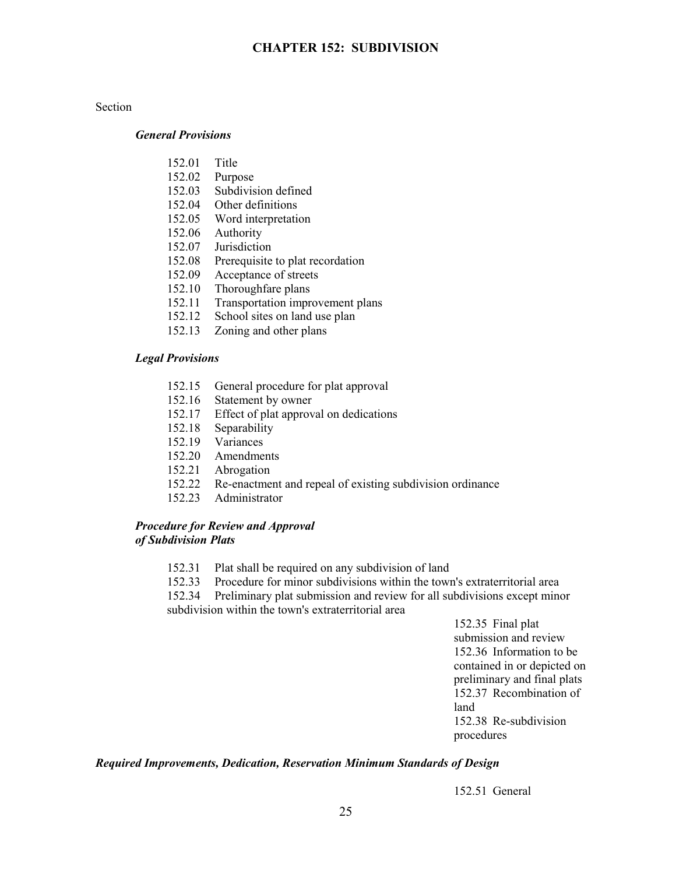#### Section

#### *General Provisions*

- 152.01 Title
- 152.02 Purpose
- 152.03 Subdivision defined
- 152.04 Other definitions
- 152.05 Word interpretation
- 152.06 Authority
- 152.07 Jurisdiction
- 152.08 Prerequisite to plat recordation
- 152.09 Acceptance of streets
- 152.10 Thoroughfare plans
- 152.11 Transportation improvement plans
- 152.12 School sites on land use plan
- 152.13 Zoning and other plans

#### *Legal Provisions*

- 152.15 General procedure for plat approval
- 152.16 Statement by owner
- 152.17 Effect of plat approval on dedications
- 152.18 Separability
- 152.19 Variances
- 152.20 Amendments
- 152.21 Abrogation
- 152.22 Re-enactment and repeal of existing subdivision ordinance
- 152.23 Administrator

## *Procedure for Review and Approval of Subdivision Plats*

- 152.31 Plat shall be required on any subdivision of land
- 152.33 Procedure for minor subdivisions within the town's extraterritorial area

152.34 Preliminary plat submission and review for all subdivisions except minor subdivision within the town's extraterritorial area

> 152.35 Final plat submission and review 152.36 Information to be contained in or depicted on preliminary and final plats 152.37 Recombination of land 152.38 Re-subdivision procedures

#### *Required Improvements, Dedication, Reservation Minimum Standards of Design*

152.51 General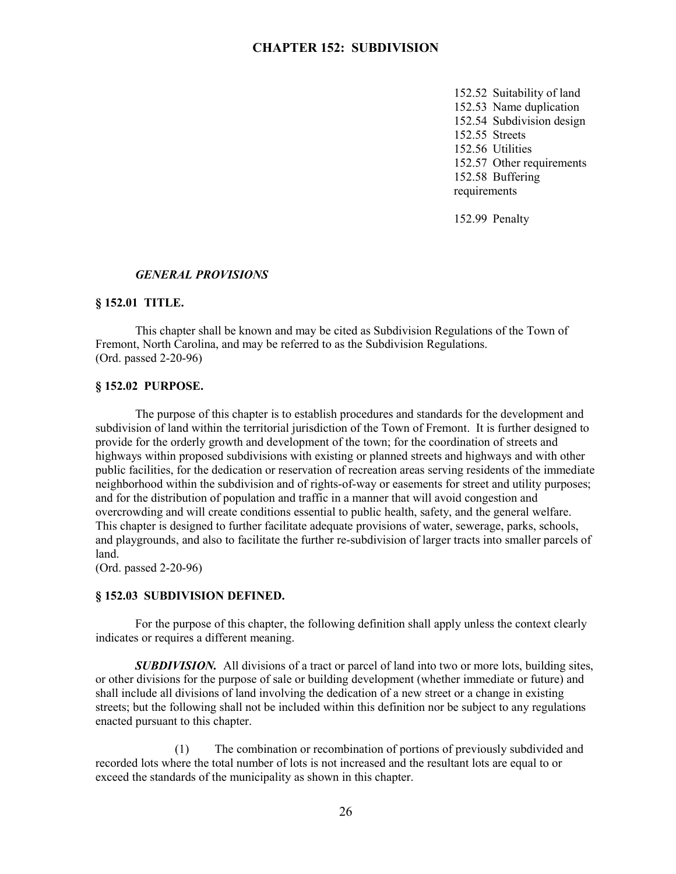152.52 Suitability of land 152.53 Name duplication 152.54 Subdivision design 152.55 Streets 152.56 Utilities 152.57 Other requirements 152.58 Buffering requirements

152.99 Penalty

#### *GENERAL PROVISIONS*

#### **§ 152.01 TITLE.**

This chapter shall be known and may be cited as Subdivision Regulations of the Town of Fremont, North Carolina, and may be referred to as the Subdivision Regulations. (Ord. passed 2-20-96)

#### **§ 152.02 PURPOSE.**

The purpose of this chapter is to establish procedures and standards for the development and subdivision of land within the territorial jurisdiction of the Town of Fremont. It is further designed to provide for the orderly growth and development of the town; for the coordination of streets and highways within proposed subdivisions with existing or planned streets and highways and with other public facilities, for the dedication or reservation of recreation areas serving residents of the immediate neighborhood within the subdivision and of rights-of-way or easements for street and utility purposes; and for the distribution of population and traffic in a manner that will avoid congestion and overcrowding and will create conditions essential to public health, safety, and the general welfare. This chapter is designed to further facilitate adequate provisions of water, sewerage, parks, schools, and playgrounds, and also to facilitate the further re-subdivision of larger tracts into smaller parcels of land.

(Ord. passed 2-20-96)

#### **§ 152.03 SUBDIVISION DEFINED.**

For the purpose of this chapter, the following definition shall apply unless the context clearly indicates or requires a different meaning.

*SUBDIVISION.* All divisions of a tract or parcel of land into two or more lots, building sites, or other divisions for the purpose of sale or building development (whether immediate or future) and shall include all divisions of land involving the dedication of a new street or a change in existing streets; but the following shall not be included within this definition nor be subject to any regulations enacted pursuant to this chapter.

(1) The combination or recombination of portions of previously subdivided and recorded lots where the total number of lots is not increased and the resultant lots are equal to or exceed the standards of the municipality as shown in this chapter.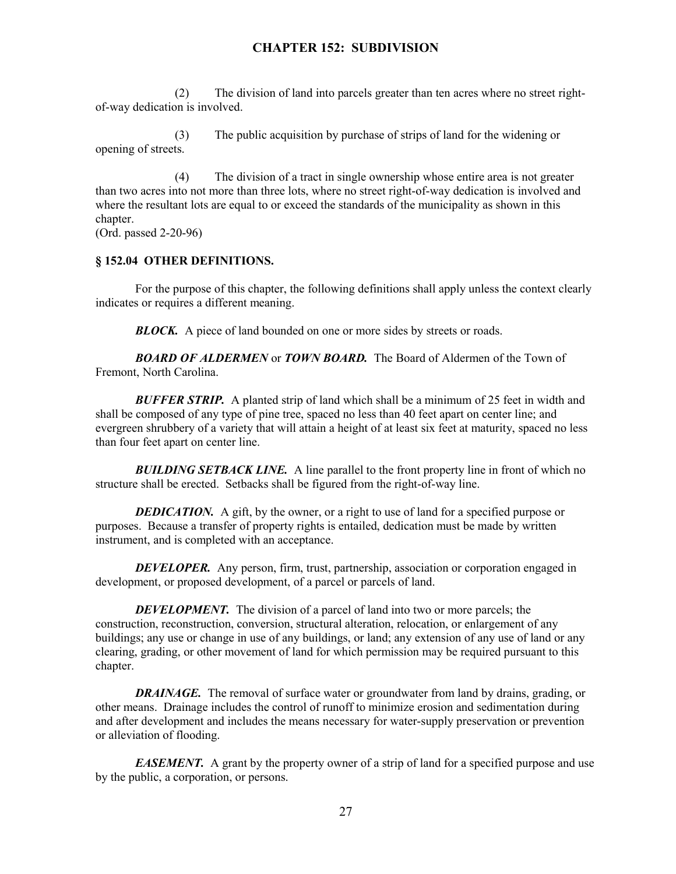(2) The division of land into parcels greater than ten acres where no street rightof-way dedication is involved.

(3) The public acquisition by purchase of strips of land for the widening or opening of streets.

(4) The division of a tract in single ownership whose entire area is not greater than two acres into not more than three lots, where no street right-of-way dedication is involved and where the resultant lots are equal to or exceed the standards of the municipality as shown in this chapter.

(Ord. passed 2-20-96)

## **§ 152.04 OTHER DEFINITIONS.**

For the purpose of this chapter, the following definitions shall apply unless the context clearly indicates or requires a different meaning.

**BLOCK.** A piece of land bounded on one or more sides by streets or roads.

*BOARD OF ALDERMEN* or *TOWN BOARD.* The Board of Aldermen of the Town of Fremont, North Carolina.

*BUFFER STRIP.* A planted strip of land which shall be a minimum of 25 feet in width and shall be composed of any type of pine tree, spaced no less than 40 feet apart on center line; and evergreen shrubbery of a variety that will attain a height of at least six feet at maturity, spaced no less than four feet apart on center line.

**BUILDING SETBACK LINE.** A line parallel to the front property line in front of which no structure shall be erected. Setbacks shall be figured from the right-of-way line.

**DEDICATION.** A gift, by the owner, or a right to use of land for a specified purpose or purposes. Because a transfer of property rights is entailed, dedication must be made by written instrument, and is completed with an acceptance.

*DEVELOPER.* Any person, firm, trust, partnership, association or corporation engaged in development, or proposed development, of a parcel or parcels of land.

*DEVELOPMENT.* The division of a parcel of land into two or more parcels; the construction, reconstruction, conversion, structural alteration, relocation, or enlargement of any buildings; any use or change in use of any buildings, or land; any extension of any use of land or any clearing, grading, or other movement of land for which permission may be required pursuant to this chapter.

*DRAINAGE.* The removal of surface water or groundwater from land by drains, grading, or other means. Drainage includes the control of runoff to minimize erosion and sedimentation during and after development and includes the means necessary for water-supply preservation or prevention or alleviation of flooding.

*EASEMENT.* A grant by the property owner of a strip of land for a specified purpose and use by the public, a corporation, or persons.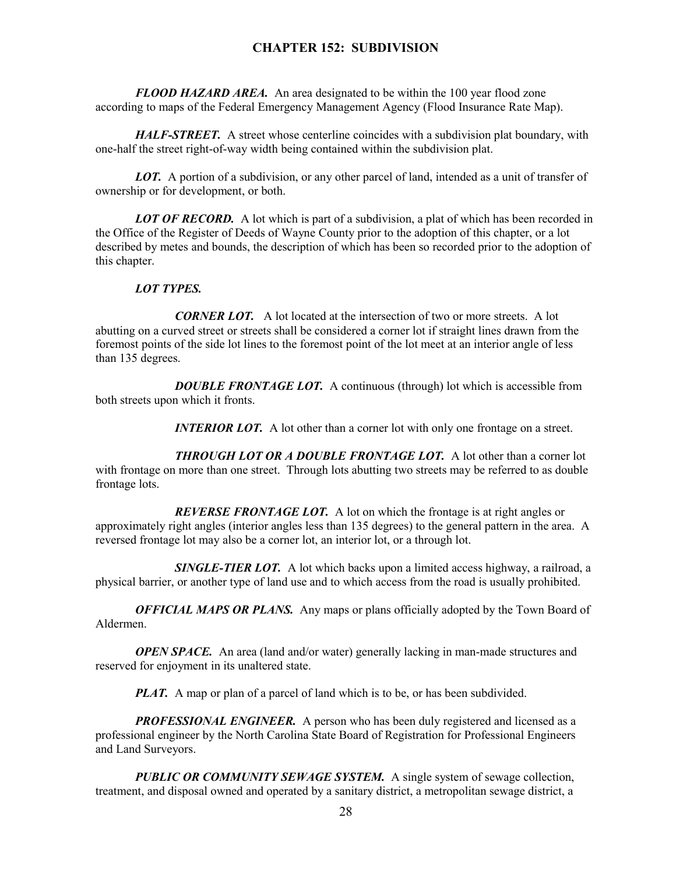*FLOOD HAZARD AREA.* An area designated to be within the 100 year flood zone according to maps of the Federal Emergency Management Agency (Flood Insurance Rate Map).

*HALF-STREET.* A street whose centerline coincides with a subdivision plat boundary, with one-half the street right-of-way width being contained within the subdivision plat.

**LOT.** A portion of a subdivision, or any other parcel of land, intended as a unit of transfer of ownership or for development, or both.

**LOT OF RECORD.** A lot which is part of a subdivision, a plat of which has been recorded in the Office of the Register of Deeds of Wayne County prior to the adoption of this chapter, or a lot described by metes and bounds, the description of which has been so recorded prior to the adoption of this chapter.

#### *LOT TYPES.*

*CORNER LOT.* A lot located at the intersection of two or more streets. A lot abutting on a curved street or streets shall be considered a corner lot if straight lines drawn from the foremost points of the side lot lines to the foremost point of the lot meet at an interior angle of less than 135 degrees.

**DOUBLE FRONTAGE LOT.** A continuous (through) lot which is accessible from both streets upon which it fronts.

*INTERIOR LOT.* A lot other than a corner lot with only one frontage on a street.

*THROUGH LOT OR A DOUBLE FRONTAGE LOT.* A lot other than a corner lot with frontage on more than one street. Through lots abutting two streets may be referred to as double frontage lots.

*REVERSE FRONTAGE LOT.* A lot on which the frontage is at right angles or approximately right angles (interior angles less than 135 degrees) to the general pattern in the area. A reversed frontage lot may also be a corner lot, an interior lot, or a through lot.

*SINGLE-TIER LOT.* A lot which backs upon a limited access highway, a railroad, a physical barrier, or another type of land use and to which access from the road is usually prohibited.

*OFFICIAL MAPS OR PLANS.* Any maps or plans officially adopted by the Town Board of Aldermen.

*OPEN SPACE.* An area (land and/or water) generally lacking in man-made structures and reserved for enjoyment in its unaltered state.

*PLAT.* A map or plan of a parcel of land which is to be, or has been subdivided.

*PROFESSIONAL ENGINEER.* A person who has been duly registered and licensed as a professional engineer by the North Carolina State Board of Registration for Professional Engineers and Land Surveyors.

*PUBLIC OR COMMUNITY SEWAGE SYSTEM.* A single system of sewage collection, treatment, and disposal owned and operated by a sanitary district, a metropolitan sewage district, a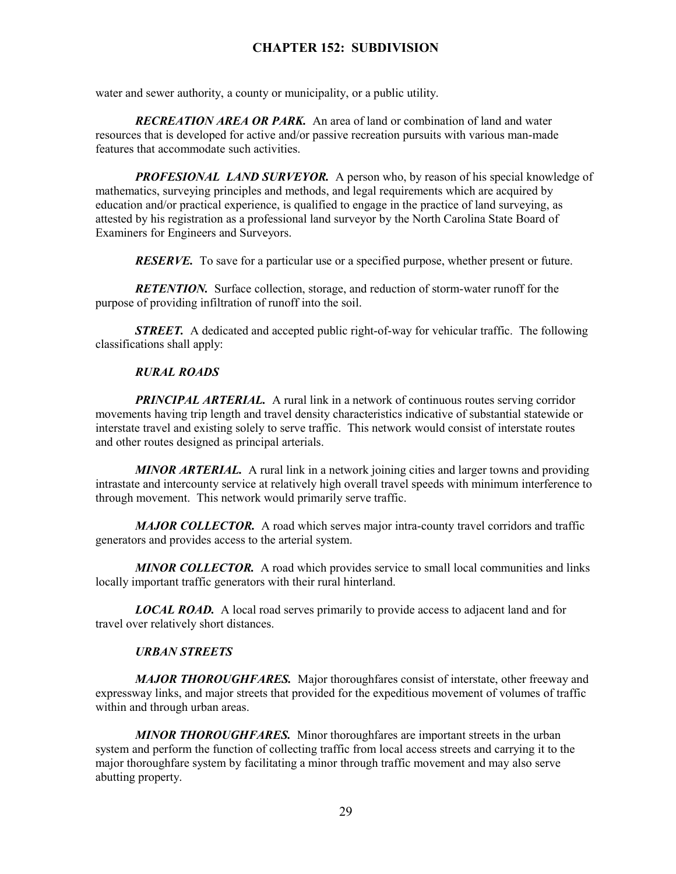water and sewer authority, a county or municipality, or a public utility.

*RECREATION AREA OR PARK.* An area of land or combination of land and water resources that is developed for active and/or passive recreation pursuits with various man-made features that accommodate such activities.

**PROFESIONAL LAND SURVEYOR.** A person who, by reason of his special knowledge of mathematics, surveying principles and methods, and legal requirements which are acquired by education and/or practical experience, is qualified to engage in the practice of land surveying, as attested by his registration as a professional land surveyor by the North Carolina State Board of Examiners for Engineers and Surveyors.

*RESERVE.* To save for a particular use or a specified purpose, whether present or future.

*RETENTION.* Surface collection, storage, and reduction of storm-water runoff for the purpose of providing infiltration of runoff into the soil.

*STREET.* A dedicated and accepted public right-of-way for vehicular traffic. The following classifications shall apply:

## *RURAL ROADS*

**PRINCIPAL ARTERIAL.** A rural link in a network of continuous routes serving corridor movements having trip length and travel density characteristics indicative of substantial statewide or interstate travel and existing solely to serve traffic. This network would consist of interstate routes and other routes designed as principal arterials.

*MINOR ARTERIAL.* A rural link in a network joining cities and larger towns and providing intrastate and intercounty service at relatively high overall travel speeds with minimum interference to through movement. This network would primarily serve traffic.

*MAJOR COLLECTOR.* A road which serves major intra-county travel corridors and traffic generators and provides access to the arterial system.

*MINOR COLLECTOR.* A road which provides service to small local communities and links locally important traffic generators with their rural hinterland.

*LOCAL ROAD.* A local road serves primarily to provide access to adjacent land and for travel over relatively short distances.

## *URBAN STREETS*

*MAJOR THOROUGHFARES.* Major thoroughfares consist of interstate, other freeway and expressway links, and major streets that provided for the expeditious movement of volumes of traffic within and through urban areas.

*MINOR THOROUGHFARES.* Minor thoroughfares are important streets in the urban system and perform the function of collecting traffic from local access streets and carrying it to the major thoroughfare system by facilitating a minor through traffic movement and may also serve abutting property.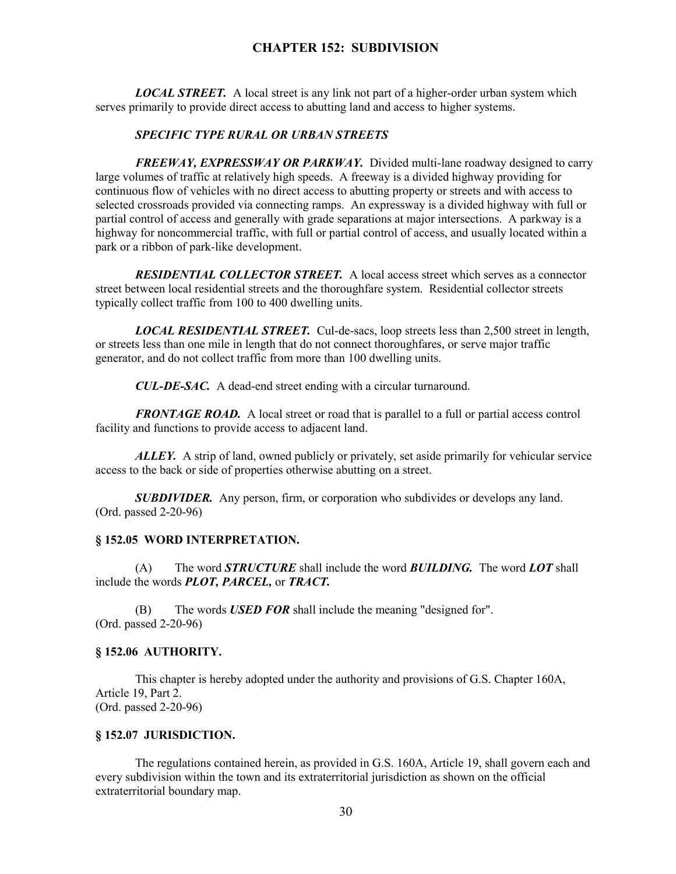*LOCAL STREET.* A local street is any link not part of a higher-order urban system which serves primarily to provide direct access to abutting land and access to higher systems.

#### *SPECIFIC TYPE RURAL OR URBAN STREETS*

*FREEWAY, EXPRESSWAY OR PARKWAY.* Divided multi-lane roadway designed to carry large volumes of traffic at relatively high speeds. A freeway is a divided highway providing for continuous flow of vehicles with no direct access to abutting property or streets and with access to selected crossroads provided via connecting ramps. An expressway is a divided highway with full or partial control of access and generally with grade separations at major intersections. A parkway is a highway for noncommercial traffic, with full or partial control of access, and usually located within a park or a ribbon of park-like development.

*RESIDENTIAL COLLECTOR STREET.* A local access street which serves as a connector street between local residential streets and the thoroughfare system. Residential collector streets typically collect traffic from 100 to 400 dwelling units.

*LOCAL RESIDENTIAL STREET.* Cul-de-sacs, loop streets less than 2,500 street in length, or streets less than one mile in length that do not connect thoroughfares, or serve major traffic generator, and do not collect traffic from more than 100 dwelling units.

*CUL-DE-SAC.* A dead-end street ending with a circular turnaround.

*FRONTAGE ROAD.* A local street or road that is parallel to a full or partial access control facility and functions to provide access to adjacent land.

*ALLEY.* A strip of land, owned publicly or privately, set aside primarily for vehicular service access to the back or side of properties otherwise abutting on a street.

*SUBDIVIDER.* Any person, firm, or corporation who subdivides or develops any land. (Ord. passed 2-20-96)

#### **§ 152.05 WORD INTERPRETATION.**

(A) The word *STRUCTURE* shall include the word *BUILDING.* The word *LOT* shall include the words *PLOT, PARCEL,* or *TRACT.*

(B) The words *USED FOR* shall include the meaning "designed for". (Ord. passed 2-20-96)

#### **§ 152.06 AUTHORITY.**

This chapter is hereby adopted under the authority and provisions of G.S. Chapter 160A, Article 19, Part 2. (Ord. passed 2-20-96)

#### **§ 152.07 JURISDICTION.**

The regulations contained herein, as provided in G.S. 160A, Article 19, shall govern each and every subdivision within the town and its extraterritorial jurisdiction as shown on the official extraterritorial boundary map.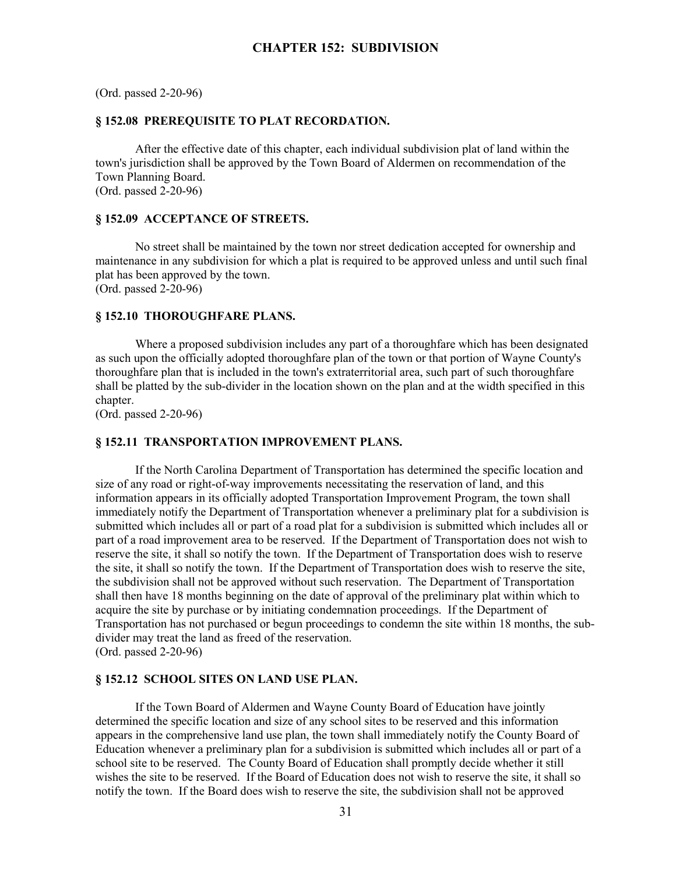(Ord. passed 2-20-96)

## **§ 152.08 PREREQUISITE TO PLAT RECORDATION.**

After the effective date of this chapter, each individual subdivision plat of land within the town's jurisdiction shall be approved by the Town Board of Aldermen on recommendation of the Town Planning Board. (Ord. passed 2-20-96)

#### **§ 152.09 ACCEPTANCE OF STREETS.**

No street shall be maintained by the town nor street dedication accepted for ownership and maintenance in any subdivision for which a plat is required to be approved unless and until such final plat has been approved by the town. (Ord. passed 2-20-96)

#### **§ 152.10 THOROUGHFARE PLANS.**

Where a proposed subdivision includes any part of a thoroughfare which has been designated as such upon the officially adopted thoroughfare plan of the town or that portion of Wayne County's thoroughfare plan that is included in the town's extraterritorial area, such part of such thoroughfare shall be platted by the sub-divider in the location shown on the plan and at the width specified in this chapter.

(Ord. passed 2-20-96)

#### **§ 152.11 TRANSPORTATION IMPROVEMENT PLANS.**

If the North Carolina Department of Transportation has determined the specific location and size of any road or right-of-way improvements necessitating the reservation of land, and this information appears in its officially adopted Transportation Improvement Program, the town shall immediately notify the Department of Transportation whenever a preliminary plat for a subdivision is submitted which includes all or part of a road plat for a subdivision is submitted which includes all or part of a road improvement area to be reserved. If the Department of Transportation does not wish to reserve the site, it shall so notify the town. If the Department of Transportation does wish to reserve the site, it shall so notify the town. If the Department of Transportation does wish to reserve the site, the subdivision shall not be approved without such reservation. The Department of Transportation shall then have 18 months beginning on the date of approval of the preliminary plat within which to acquire the site by purchase or by initiating condemnation proceedings. If the Department of Transportation has not purchased or begun proceedings to condemn the site within 18 months, the subdivider may treat the land as freed of the reservation. (Ord. passed 2-20-96)

#### **§ 152.12 SCHOOL SITES ON LAND USE PLAN.**

If the Town Board of Aldermen and Wayne County Board of Education have jointly determined the specific location and size of any school sites to be reserved and this information appears in the comprehensive land use plan, the town shall immediately notify the County Board of Education whenever a preliminary plan for a subdivision is submitted which includes all or part of a school site to be reserved. The County Board of Education shall promptly decide whether it still wishes the site to be reserved. If the Board of Education does not wish to reserve the site, it shall so notify the town. If the Board does wish to reserve the site, the subdivision shall not be approved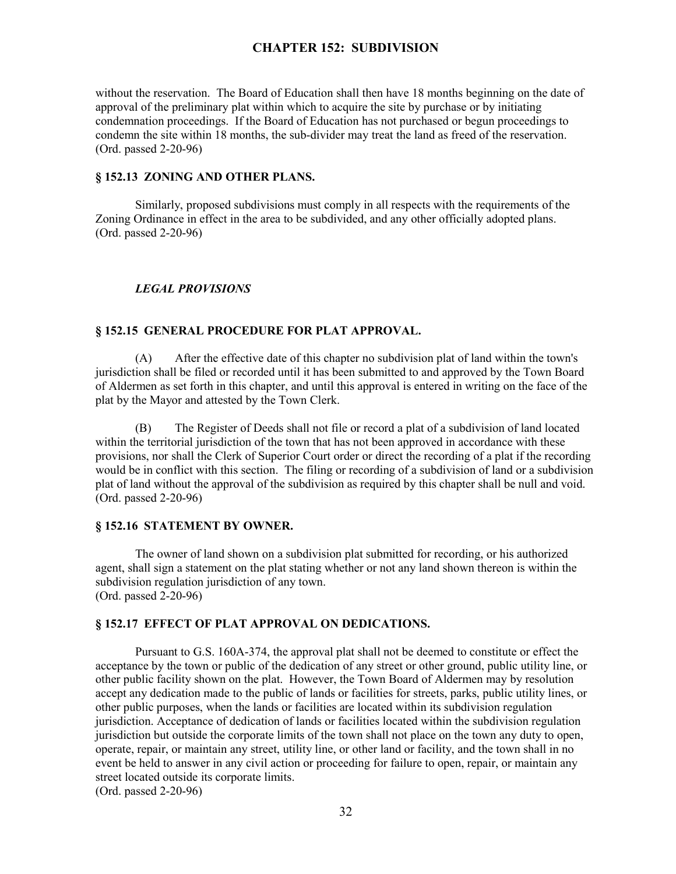without the reservation. The Board of Education shall then have 18 months beginning on the date of approval of the preliminary plat within which to acquire the site by purchase or by initiating condemnation proceedings. If the Board of Education has not purchased or begun proceedings to condemn the site within 18 months, the sub-divider may treat the land as freed of the reservation. (Ord. passed 2-20-96)

#### **§ 152.13 ZONING AND OTHER PLANS.**

Similarly, proposed subdivisions must comply in all respects with the requirements of the Zoning Ordinance in effect in the area to be subdivided, and any other officially adopted plans. (Ord. passed 2-20-96)

#### *LEGAL PROVISIONS*

#### **§ 152.15 GENERAL PROCEDURE FOR PLAT APPROVAL.**

(A) After the effective date of this chapter no subdivision plat of land within the town's jurisdiction shall be filed or recorded until it has been submitted to and approved by the Town Board of Aldermen as set forth in this chapter, and until this approval is entered in writing on the face of the plat by the Mayor and attested by the Town Clerk.

(B) The Register of Deeds shall not file or record a plat of a subdivision of land located within the territorial jurisdiction of the town that has not been approved in accordance with these provisions, nor shall the Clerk of Superior Court order or direct the recording of a plat if the recording would be in conflict with this section. The filing or recording of a subdivision of land or a subdivision plat of land without the approval of the subdivision as required by this chapter shall be null and void. (Ord. passed 2-20-96)

#### **§ 152.16 STATEMENT BY OWNER.**

The owner of land shown on a subdivision plat submitted for recording, or his authorized agent, shall sign a statement on the plat stating whether or not any land shown thereon is within the subdivision regulation jurisdiction of any town. (Ord. passed 2-20-96)

#### **§ 152.17 EFFECT OF PLAT APPROVAL ON DEDICATIONS.**

Pursuant to G.S. 160A-374, the approval plat shall not be deemed to constitute or effect the acceptance by the town or public of the dedication of any street or other ground, public utility line, or other public facility shown on the plat. However, the Town Board of Aldermen may by resolution accept any dedication made to the public of lands or facilities for streets, parks, public utility lines, or other public purposes, when the lands or facilities are located within its subdivision regulation jurisdiction. Acceptance of dedication of lands or facilities located within the subdivision regulation jurisdiction but outside the corporate limits of the town shall not place on the town any duty to open, operate, repair, or maintain any street, utility line, or other land or facility, and the town shall in no event be held to answer in any civil action or proceeding for failure to open, repair, or maintain any street located outside its corporate limits.

(Ord. passed 2-20-96)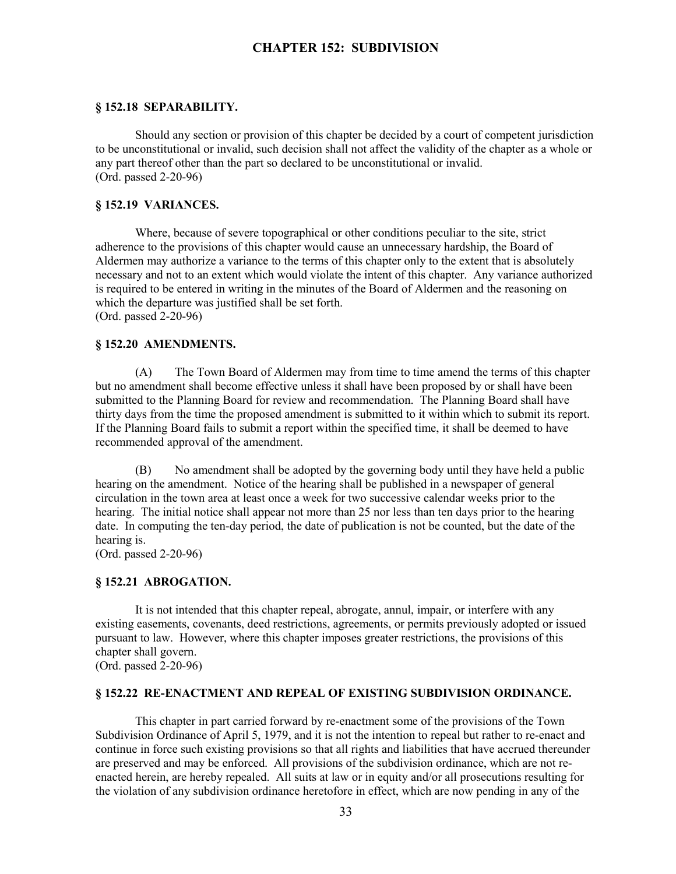#### **§ 152.18 SEPARABILITY.**

Should any section or provision of this chapter be decided by a court of competent jurisdiction to be unconstitutional or invalid, such decision shall not affect the validity of the chapter as a whole or any part thereof other than the part so declared to be unconstitutional or invalid. (Ord. passed 2-20-96)

#### **§ 152.19 VARIANCES.**

Where, because of severe topographical or other conditions peculiar to the site, strict adherence to the provisions of this chapter would cause an unnecessary hardship, the Board of Aldermen may authorize a variance to the terms of this chapter only to the extent that is absolutely necessary and not to an extent which would violate the intent of this chapter. Any variance authorized is required to be entered in writing in the minutes of the Board of Aldermen and the reasoning on which the departure was justified shall be set forth. (Ord. passed 2-20-96)

#### **§ 152.20 AMENDMENTS.**

(A) The Town Board of Aldermen may from time to time amend the terms of this chapter but no amendment shall become effective unless it shall have been proposed by or shall have been submitted to the Planning Board for review and recommendation. The Planning Board shall have thirty days from the time the proposed amendment is submitted to it within which to submit its report. If the Planning Board fails to submit a report within the specified time, it shall be deemed to have recommended approval of the amendment.

(B) No amendment shall be adopted by the governing body until they have held a public hearing on the amendment. Notice of the hearing shall be published in a newspaper of general circulation in the town area at least once a week for two successive calendar weeks prior to the hearing. The initial notice shall appear not more than 25 nor less than ten days prior to the hearing date. In computing the ten-day period, the date of publication is not be counted, but the date of the hearing is.

(Ord. passed 2-20-96)

## **§ 152.21 ABROGATION.**

It is not intended that this chapter repeal, abrogate, annul, impair, or interfere with any existing easements, covenants, deed restrictions, agreements, or permits previously adopted or issued pursuant to law. However, where this chapter imposes greater restrictions, the provisions of this chapter shall govern.

(Ord. passed 2-20-96)

## **§ 152.22 RE-ENACTMENT AND REPEAL OF EXISTING SUBDIVISION ORDINANCE.**

This chapter in part carried forward by re-enactment some of the provisions of the Town Subdivision Ordinance of April 5, 1979, and it is not the intention to repeal but rather to re-enact and continue in force such existing provisions so that all rights and liabilities that have accrued thereunder are preserved and may be enforced. All provisions of the subdivision ordinance, which are not reenacted herein, are hereby repealed. All suits at law or in equity and/or all prosecutions resulting for the violation of any subdivision ordinance heretofore in effect, which are now pending in any of the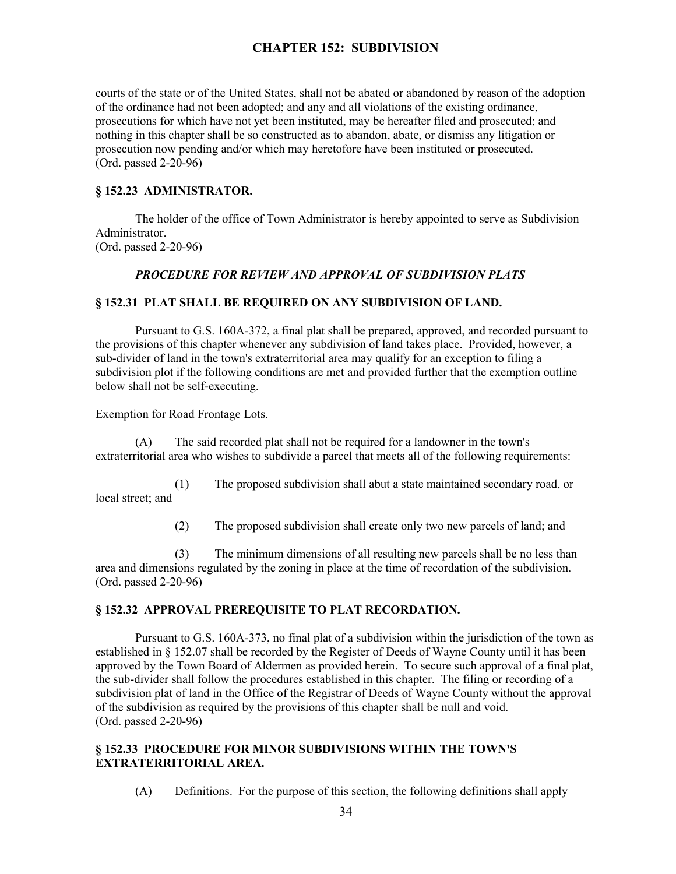courts of the state or of the United States, shall not be abated or abandoned by reason of the adoption of the ordinance had not been adopted; and any and all violations of the existing ordinance, prosecutions for which have not yet been instituted, may be hereafter filed and prosecuted; and nothing in this chapter shall be so constructed as to abandon, abate, or dismiss any litigation or prosecution now pending and/or which may heretofore have been instituted or prosecuted. (Ord. passed 2-20-96)

## **§ 152.23 ADMINISTRATOR.**

The holder of the office of Town Administrator is hereby appointed to serve as Subdivision Administrator. (Ord. passed 2-20-96)

#### *PROCEDURE FOR REVIEW AND APPROVAL OF SUBDIVISION PLATS*

## **§ 152.31 PLAT SHALL BE REQUIRED ON ANY SUBDIVISION OF LAND.**

Pursuant to G.S. 160A-372, a final plat shall be prepared, approved, and recorded pursuant to the provisions of this chapter whenever any subdivision of land takes place. Provided, however, a sub-divider of land in the town's extraterritorial area may qualify for an exception to filing a subdivision plot if the following conditions are met and provided further that the exemption outline below shall not be self-executing.

Exemption for Road Frontage Lots.

(A) The said recorded plat shall not be required for a landowner in the town's extraterritorial area who wishes to subdivide a parcel that meets all of the following requirements:

(1) The proposed subdivision shall abut a state maintained secondary road, or local street; and

(2) The proposed subdivision shall create only two new parcels of land; and

(3) The minimum dimensions of all resulting new parcels shall be no less than area and dimensions regulated by the zoning in place at the time of recordation of the subdivision. (Ord. passed 2-20-96)

## **§ 152.32 APPROVAL PREREQUISITE TO PLAT RECORDATION.**

Pursuant to G.S. 160A-373, no final plat of a subdivision within the jurisdiction of the town as established in § 152.07 shall be recorded by the Register of Deeds of Wayne County until it has been approved by the Town Board of Aldermen as provided herein. To secure such approval of a final plat, the sub-divider shall follow the procedures established in this chapter. The filing or recording of a subdivision plat of land in the Office of the Registrar of Deeds of Wayne County without the approval of the subdivision as required by the provisions of this chapter shall be null and void. (Ord. passed 2-20-96)

## **§ 152.33 PROCEDURE FOR MINOR SUBDIVISIONS WITHIN THE TOWN'S EXTRATERRITORIAL AREA.**

(A) Definitions. For the purpose of this section, the following definitions shall apply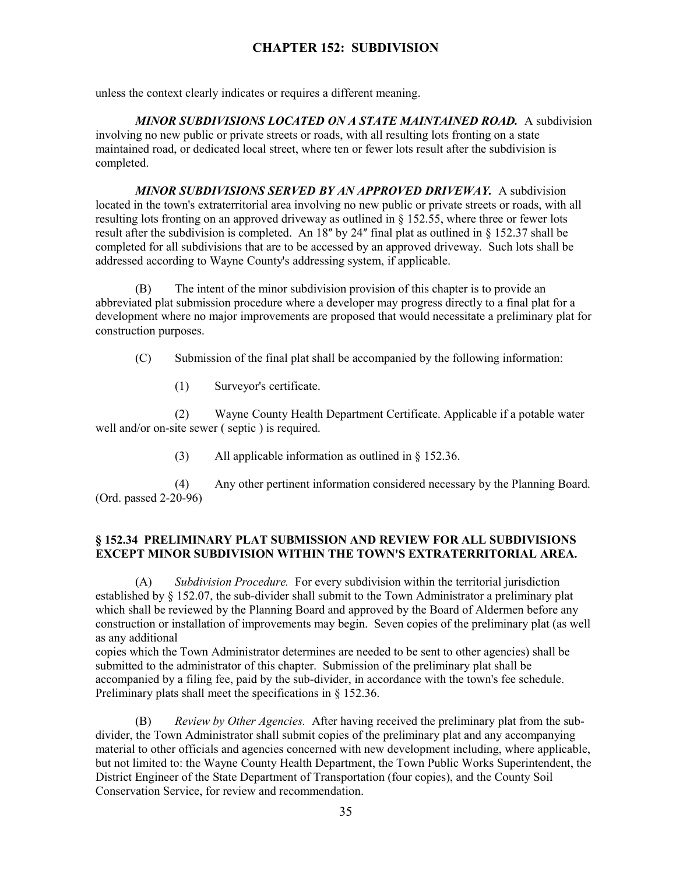unless the context clearly indicates or requires a different meaning.

*MINOR SUBDIVISIONS LOCATED ON A STATE MAINTAINED ROAD.* A subdivision involving no new public or private streets or roads, with all resulting lots fronting on a state maintained road, or dedicated local street, where ten or fewer lots result after the subdivision is completed.

*MINOR SUBDIVISIONS SERVED BY AN APPROVED DRIVEWAY.* A subdivision located in the town's extraterritorial area involving no new public or private streets or roads, with all resulting lots fronting on an approved driveway as outlined in § 152.55, where three or fewer lots result after the subdivision is completed. An  $18$ <sup>"</sup> by 24" final plat as outlined in § 152.37 shall be completed for all subdivisions that are to be accessed by an approved driveway. Such lots shall be addressed according to Wayne County's addressing system, if applicable.

(B) The intent of the minor subdivision provision of this chapter is to provide an abbreviated plat submission procedure where a developer may progress directly to a final plat for a development where no major improvements are proposed that would necessitate a preliminary plat for construction purposes.

(C) Submission of the final plat shall be accompanied by the following information:

(1) Surveyor's certificate.

(2) Wayne County Health Department Certificate. Applicable if a potable water well and/or on-site sewer ( septic ) is required.

(3) All applicable information as outlined in § 152.36.

(4) Any other pertinent information considered necessary by the Planning Board. (Ord. passed 2-20-96)

# **§ 152.34 PRELIMINARY PLAT SUBMISSION AND REVIEW FOR ALL SUBDIVISIONS EXCEPT MINOR SUBDIVISION WITHIN THE TOWN'S EXTRATERRITORIAL AREA.**

(A) *Subdivision Procedure.* For every subdivision within the territorial jurisdiction established by § 152.07, the sub-divider shall submit to the Town Administrator a preliminary plat which shall be reviewed by the Planning Board and approved by the Board of Aldermen before any construction or installation of improvements may begin. Seven copies of the preliminary plat (as well as any additional

copies which the Town Administrator determines are needed to be sent to other agencies) shall be submitted to the administrator of this chapter. Submission of the preliminary plat shall be accompanied by a filing fee, paid by the sub-divider, in accordance with the town's fee schedule. Preliminary plats shall meet the specifications in § 152.36.

(B) *Review by Other Agencies.* After having received the preliminary plat from the subdivider, the Town Administrator shall submit copies of the preliminary plat and any accompanying material to other officials and agencies concerned with new development including, where applicable, but not limited to: the Wayne County Health Department, the Town Public Works Superintendent, the District Engineer of the State Department of Transportation (four copies), and the County Soil Conservation Service, for review and recommendation.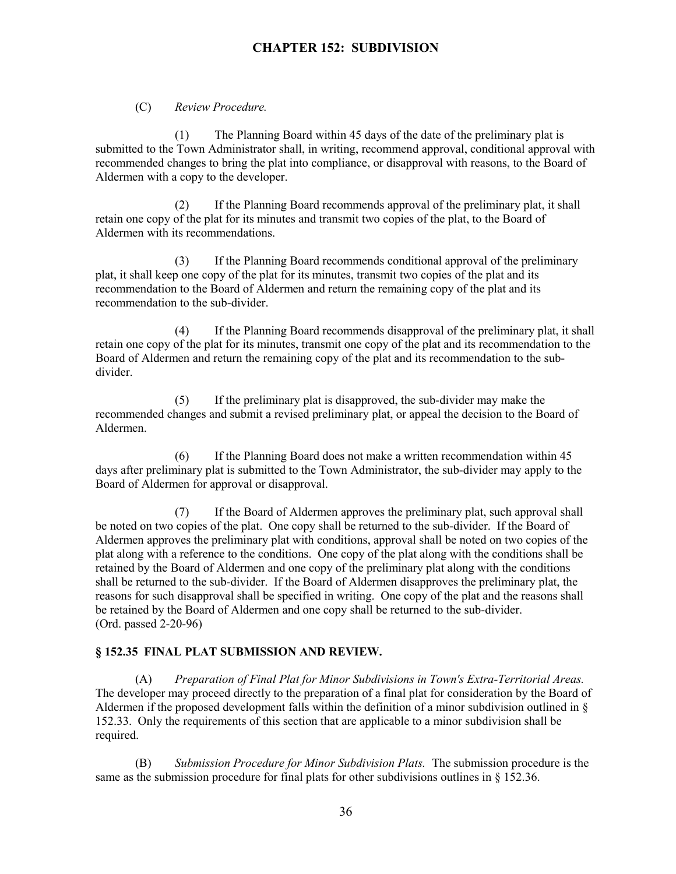(C) *Review Procedure.*

(1) The Planning Board within 45 days of the date of the preliminary plat is submitted to the Town Administrator shall, in writing, recommend approval, conditional approval with recommended changes to bring the plat into compliance, or disapproval with reasons, to the Board of Aldermen with a copy to the developer.

(2) If the Planning Board recommends approval of the preliminary plat, it shall retain one copy of the plat for its minutes and transmit two copies of the plat, to the Board of Aldermen with its recommendations.

(3) If the Planning Board recommends conditional approval of the preliminary plat, it shall keep one copy of the plat for its minutes, transmit two copies of the plat and its recommendation to the Board of Aldermen and return the remaining copy of the plat and its recommendation to the sub-divider.

(4) If the Planning Board recommends disapproval of the preliminary plat, it shall retain one copy of the plat for its minutes, transmit one copy of the plat and its recommendation to the Board of Aldermen and return the remaining copy of the plat and its recommendation to the subdivider.

(5) If the preliminary plat is disapproved, the sub-divider may make the recommended changes and submit a revised preliminary plat, or appeal the decision to the Board of Aldermen.

(6) If the Planning Board does not make a written recommendation within 45 days after preliminary plat is submitted to the Town Administrator, the sub-divider may apply to the Board of Aldermen for approval or disapproval.

(7) If the Board of Aldermen approves the preliminary plat, such approval shall be noted on two copies of the plat. One copy shall be returned to the sub-divider. If the Board of Aldermen approves the preliminary plat with conditions, approval shall be noted on two copies of the plat along with a reference to the conditions. One copy of the plat along with the conditions shall be retained by the Board of Aldermen and one copy of the preliminary plat along with the conditions shall be returned to the sub-divider. If the Board of Aldermen disapproves the preliminary plat, the reasons for such disapproval shall be specified in writing. One copy of the plat and the reasons shall be retained by the Board of Aldermen and one copy shall be returned to the sub-divider. (Ord. passed 2-20-96)

## **§ 152.35 FINAL PLAT SUBMISSION AND REVIEW.**

(A) *Preparation of Final Plat for Minor Subdivisions in Town's Extra-Territorial Areas.* The developer may proceed directly to the preparation of a final plat for consideration by the Board of Aldermen if the proposed development falls within the definition of a minor subdivision outlined in § 152.33. Only the requirements of this section that are applicable to a minor subdivision shall be required.

(B) *Submission Procedure for Minor Subdivision Plats.* The submission procedure is the same as the submission procedure for final plats for other subdivisions outlines in § 152.36.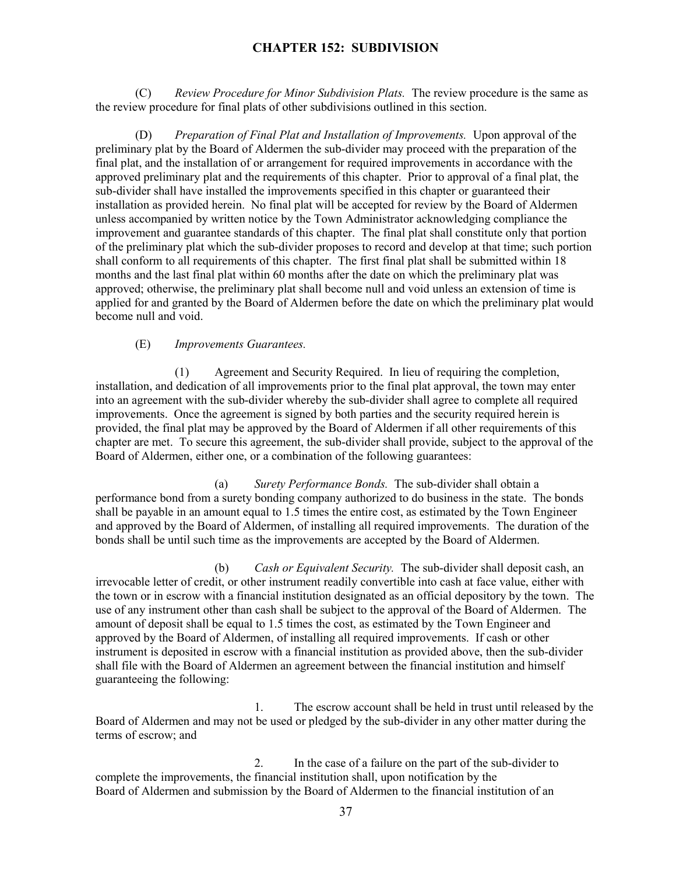(C) *Review Procedure for Minor Subdivision Plats.* The review procedure is the same as the review procedure for final plats of other subdivisions outlined in this section.

(D) *Preparation of Final Plat and Installation of Improvements.* Upon approval of the preliminary plat by the Board of Aldermen the sub-divider may proceed with the preparation of the final plat, and the installation of or arrangement for required improvements in accordance with the approved preliminary plat and the requirements of this chapter. Prior to approval of a final plat, the sub-divider shall have installed the improvements specified in this chapter or guaranteed their installation as provided herein. No final plat will be accepted for review by the Board of Aldermen unless accompanied by written notice by the Town Administrator acknowledging compliance the improvement and guarantee standards of this chapter. The final plat shall constitute only that portion of the preliminary plat which the sub-divider proposes to record and develop at that time; such portion shall conform to all requirements of this chapter. The first final plat shall be submitted within 18 months and the last final plat within 60 months after the date on which the preliminary plat was approved; otherwise, the preliminary plat shall become null and void unless an extension of time is applied for and granted by the Board of Aldermen before the date on which the preliminary plat would become null and void.

#### (E) *Improvements Guarantees.*

(1) Agreement and Security Required. In lieu of requiring the completion, installation, and dedication of all improvements prior to the final plat approval, the town may enter into an agreement with the sub-divider whereby the sub-divider shall agree to complete all required improvements. Once the agreement is signed by both parties and the security required herein is provided, the final plat may be approved by the Board of Aldermen if all other requirements of this chapter are met. To secure this agreement, the sub-divider shall provide, subject to the approval of the Board of Aldermen, either one, or a combination of the following guarantees:

(a) *Surety Performance Bonds.* The sub-divider shall obtain a performance bond from a surety bonding company authorized to do business in the state. The bonds shall be payable in an amount equal to 1.5 times the entire cost, as estimated by the Town Engineer and approved by the Board of Aldermen, of installing all required improvements. The duration of the bonds shall be until such time as the improvements are accepted by the Board of Aldermen.

(b) *Cash or Equivalent Security.* The sub-divider shall deposit cash, an irrevocable letter of credit, or other instrument readily convertible into cash at face value, either with the town or in escrow with a financial institution designated as an official depository by the town. The use of any instrument other than cash shall be subject to the approval of the Board of Aldermen. The amount of deposit shall be equal to 1.5 times the cost, as estimated by the Town Engineer and approved by the Board of Aldermen, of installing all required improvements. If cash or other instrument is deposited in escrow with a financial institution as provided above, then the sub-divider shall file with the Board of Aldermen an agreement between the financial institution and himself guaranteeing the following:

1. The escrow account shall be held in trust until released by the Board of Aldermen and may not be used or pledged by the sub-divider in any other matter during the terms of escrow; and

2. In the case of a failure on the part of the sub-divider to complete the improvements, the financial institution shall, upon notification by the Board of Aldermen and submission by the Board of Aldermen to the financial institution of an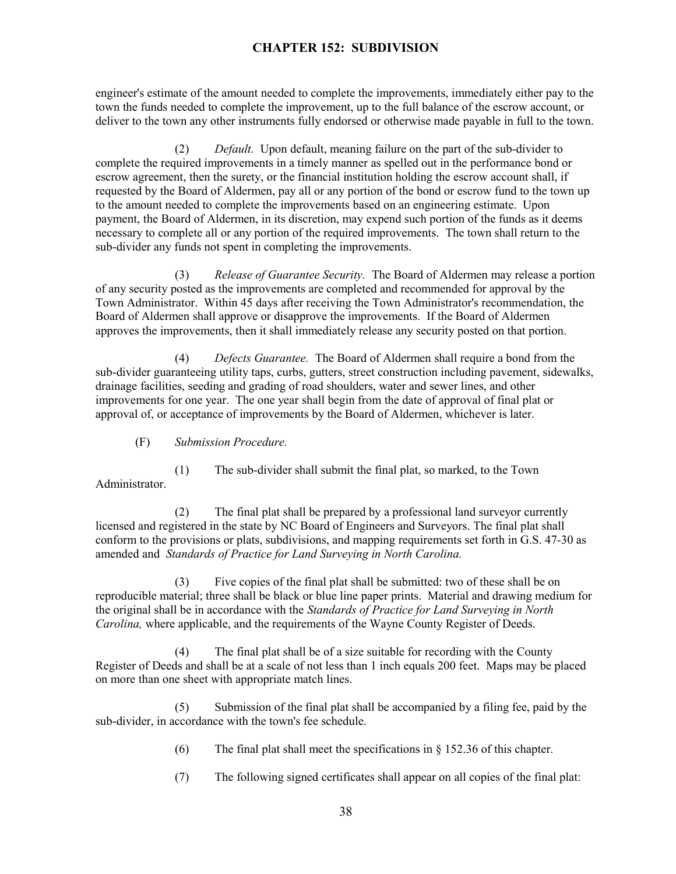engineer's estimate of the amount needed to complete the improvements, immediately either pay to the town the funds needed to complete the improvement, up to the full balance of the escrow account, or deliver to the town any other instruments fully endorsed or otherwise made payable in full to the town.

(2) *Default.* Upon default, meaning failure on the part of the sub-divider to complete the required improvements in a timely manner as spelled out in the performance bond or escrow agreement, then the surety, or the financial institution holding the escrow account shall, if requested by the Board of Aldermen, pay all or any portion of the bond or escrow fund to the town up to the amount needed to complete the improvements based on an engineering estimate. Upon payment, the Board of Aldermen, in its discretion, may expend such portion of the funds as it deems necessary to complete all or any portion of the required improvements. The town shall return to the sub-divider any funds not spent in completing the improvements.

(3) *Release of Guarantee Security.* The Board of Aldermen may release a portion of any security posted as the improvements are completed and recommended for approval by the Town Administrator. Within 45 days after receiving the Town Administrator's recommendation, the Board of Aldermen shall approve or disapprove the improvements. If the Board of Aldermen approves the improvements, then it shall immediately release any security posted on that portion.

(4) *Defects Guarantee.* The Board of Aldermen shall require a bond from the sub-divider guaranteeing utility taps, curbs, gutters, street construction including pavement, sidewalks, drainage facilities, seeding and grading of road shoulders, water and sewer lines, and other improvements for one year. The one year shall begin from the date of approval of final plat or approval of, or acceptance of improvements by the Board of Aldermen, whichever is later.

## (F) *Submission Procedure.*

(1) The sub-divider shall submit the final plat, so marked, to the Town Administrator.

(2) The final plat shall be prepared by a professional land surveyor currently licensed and registered in the state by NC Board of Engineers and Surveyors. The final plat shall conform to the provisions or plats, subdivisions, and mapping requirements set forth in G.S. 47-30 as amended and *Standards of Practice for Land Surveying in North Carolina.*

(3) Five copies of the final plat shall be submitted: two of these shall be on reproducible material; three shall be black or blue line paper prints. Material and drawing medium for the original shall be in accordance with the *Standards of Practice for Land Surveying in North Carolina,* where applicable, and the requirements of the Wayne County Register of Deeds.

(4) The final plat shall be of a size suitable for recording with the County Register of Deeds and shall be at a scale of not less than 1 inch equals 200 feet. Maps may be placed on more than one sheet with appropriate match lines.

(5) Submission of the final plat shall be accompanied by a filing fee, paid by the sub-divider, in accordance with the town's fee schedule.

- (6) The final plat shall meet the specifications in  $\S$  152.36 of this chapter.
- (7) The following signed certificates shall appear on all copies of the final plat: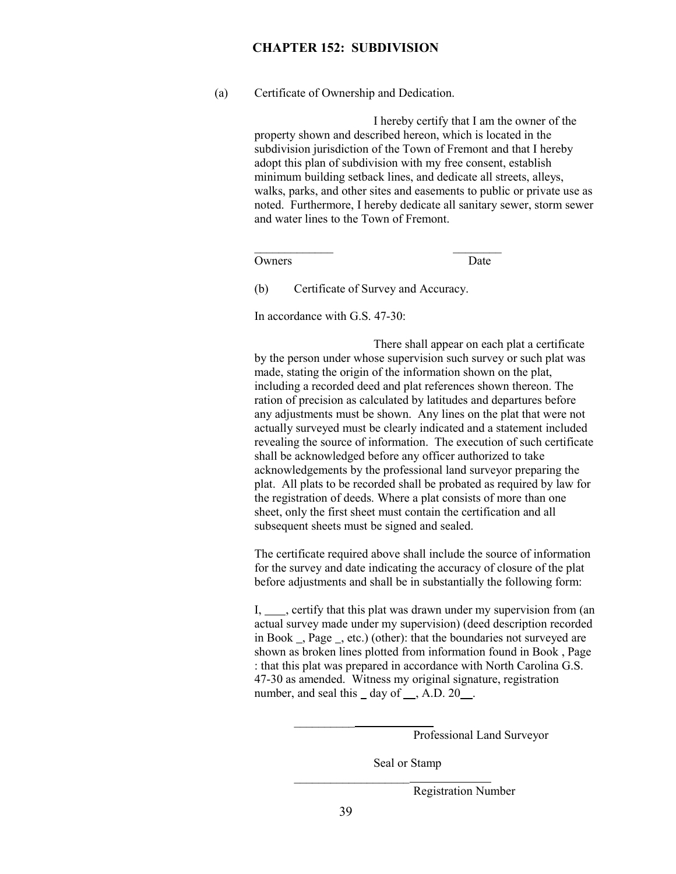(a) Certificate of Ownership and Dedication.

I hereby certify that I am the owner of the property shown and described hereon, which is located in the subdivision jurisdiction of the Town of Fremont and that I hereby adopt this plan of subdivision with my free consent, establish minimum building setback lines, and dedicate all streets, alleys, walks, parks, and other sites and easements to public or private use as noted. Furthermore, I hereby dedicate all sanitary sewer, storm sewer and water lines to the Town of Fremont.

Owners Date

 $\mathcal{L}_\text{max}$  and  $\mathcal{L}_\text{max}$  are the set of the set of the set of the set of the set of the set of the set of the set of the set of the set of the set of the set of the set of the set of the set of the set of the set o

 $\mathcal{L}_\text{max}$  and the contract of the contract of the contract of the contract of the contract of the contract of

(b) Certificate of Survey and Accuracy.

 $\mathcal{L}_\text{max}$  and  $\mathcal{L}_\text{max}$  and  $\mathcal{L}_\text{max}$ 

In accordance with G.S. 47-30:

There shall appear on each plat a certificate by the person under whose supervision such survey or such plat was made, stating the origin of the information shown on the plat, including a recorded deed and plat references shown thereon. The ration of precision as calculated by latitudes and departures before any adjustments must be shown. Any lines on the plat that were not actually surveyed must be clearly indicated and a statement included revealing the source of information. The execution of such certificate shall be acknowledged before any officer authorized to take acknowledgements by the professional land surveyor preparing the plat. All plats to be recorded shall be probated as required by law for the registration of deeds. Where a plat consists of more than one sheet, only the first sheet must contain the certification and all subsequent sheets must be signed and sealed.

The certificate required above shall include the source of information for the survey and date indicating the accuracy of closure of the plat before adjustments and shall be in substantially the following form:

I, sertify that this plat was drawn under my supervision from (an actual survey made under my supervision) (deed description recorded in Book \_, Page \_, etc.) (other): that the boundaries not surveyed are shown as broken lines plotted from information found in Book , Page : that this plat was prepared in accordance with North Carolina G.S. 47-30 as amended. Witness my original signature, registration number, and seal this  $\_\,$  day of  $\_\,$ , A.D. 20 $\_\,$ .

Professional Land Surveyor

Seal or Stamp

Registration Number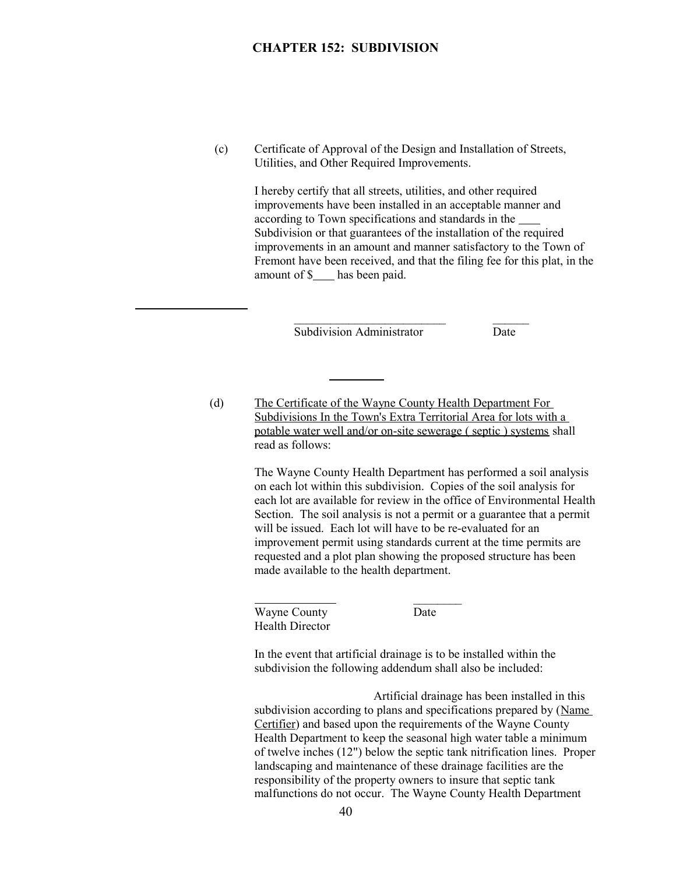(c) Certificate of Approval of the Design and Installation of Streets, Utilities, and Other Required Improvements.

> I hereby certify that all streets, utilities, and other required improvements have been installed in an acceptable manner and according to Town specifications and standards in the Subdivision or that guarantees of the installation of the required improvements in an amount and manner satisfactory to the Town of Fremont have been received, and that the filing fee for this plat, in the amount of  $\frac{1}{2}$  has been paid.

> > Subdivision Administrator Date

 $\mathcal{L}_\text{max}$  and  $\mathcal{L}_\text{max}$  and  $\mathcal{L}_\text{max}$  and  $\mathcal{L}_\text{max}$  and  $\mathcal{L}_\text{max}$ 

(d) The Certificate of the Wayne County Health Department For Subdivisions In the Town's Extra Territorial Area for lots with a potable water well and/or on-site sewerage ( septic ) systems shall read as follows:

> The Wayne County Health Department has performed a soil analysis on each lot within this subdivision. Copies of the soil analysis for each lot are available for review in the office of Environmental Health Section. The soil analysis is not a permit or a guarantee that a permit will be issued. Each lot will have to be re-evaluated for an improvement permit using standards current at the time permits are requested and a plot plan showing the proposed structure has been made available to the health department.

Wayne County Date Health Director

 $\overline{a}$ 

In the event that artificial drainage is to be installed within the subdivision the following addendum shall also be included:

Artificial drainage has been installed in this subdivision according to plans and specifications prepared by (Name Certifier) and based upon the requirements of the Wayne County Health Department to keep the seasonal high water table a minimum of twelve inches (12") below the septic tank nitrification lines. Proper landscaping and maintenance of these drainage facilities are the responsibility of the property owners to insure that septic tank malfunctions do not occur. The Wayne County Health Department

 $\frac{1}{2}$  ,  $\frac{1}{2}$  ,  $\frac{1}{2}$  ,  $\frac{1}{2}$  ,  $\frac{1}{2}$  ,  $\frac{1}{2}$  ,  $\frac{1}{2}$  ,  $\frac{1}{2}$  ,  $\frac{1}{2}$  ,  $\frac{1}{2}$  ,  $\frac{1}{2}$  ,  $\frac{1}{2}$  ,  $\frac{1}{2}$  ,  $\frac{1}{2}$  ,  $\frac{1}{2}$  ,  $\frac{1}{2}$  ,  $\frac{1}{2}$  ,  $\frac{1}{2}$  ,  $\frac{1$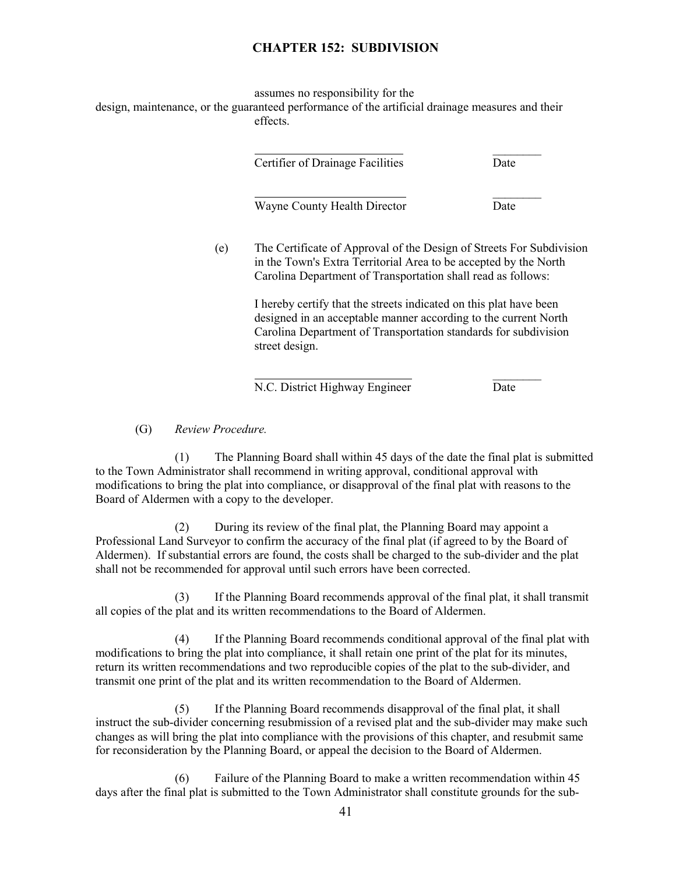assumes no responsibility for the design, maintenance, or the guaranteed performance of the artificial drainage measures and their effects.

| Certifier of Drainage Facilities                                                                                                                                                                                           | Date |
|----------------------------------------------------------------------------------------------------------------------------------------------------------------------------------------------------------------------------|------|
| Wayne County Health Director                                                                                                                                                                                               | Date |
| The Certificate of Approval of the Design of Streets For Subdivision<br>in the Town's Extra Territorial Area to be accepted by the North<br>Carolina Department of Transportation shall read as follows:                   |      |
| I hereby certify that the streets indicated on this plat have been<br>designed in an acceptable manner according to the current North<br>Carolina Department of Transportation standards for subdivision<br>street design. |      |

N.C. District Highway Engineer Date

(G) *Review Procedure.*

(1) The Planning Board shall within 45 days of the date the final plat is submitted to the Town Administrator shall recommend in writing approval, conditional approval with modifications to bring the plat into compliance, or disapproval of the final plat with reasons to the Board of Aldermen with a copy to the developer.

(2) During its review of the final plat, the Planning Board may appoint a Professional Land Surveyor to confirm the accuracy of the final plat (if agreed to by the Board of Aldermen). If substantial errors are found, the costs shall be charged to the sub-divider and the plat shall not be recommended for approval until such errors have been corrected.

(3) If the Planning Board recommends approval of the final plat, it shall transmit all copies of the plat and its written recommendations to the Board of Aldermen.

(4) If the Planning Board recommends conditional approval of the final plat with modifications to bring the plat into compliance, it shall retain one print of the plat for its minutes, return its written recommendations and two reproducible copies of the plat to the sub-divider, and transmit one print of the plat and its written recommendation to the Board of Aldermen.

(5) If the Planning Board recommends disapproval of the final plat, it shall instruct the sub-divider concerning resubmission of a revised plat and the sub-divider may make such changes as will bring the plat into compliance with the provisions of this chapter, and resubmit same for reconsideration by the Planning Board, or appeal the decision to the Board of Aldermen.

(6) Failure of the Planning Board to make a written recommendation within 45 days after the final plat is submitted to the Town Administrator shall constitute grounds for the sub-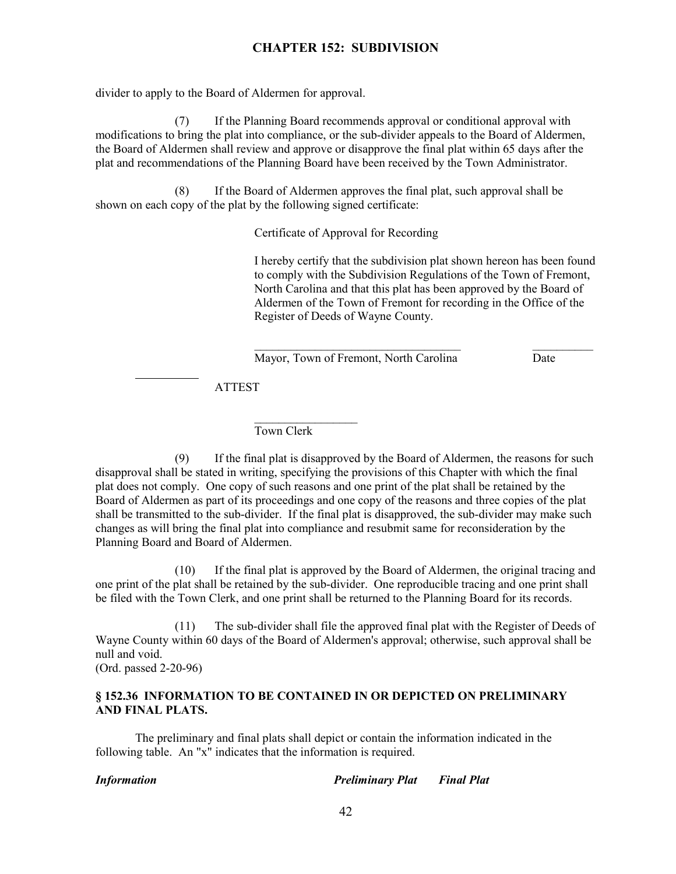divider to apply to the Board of Aldermen for approval.

(7) If the Planning Board recommends approval or conditional approval with modifications to bring the plat into compliance, or the sub-divider appeals to the Board of Aldermen, the Board of Aldermen shall review and approve or disapprove the final plat within 65 days after the plat and recommendations of the Planning Board have been received by the Town Administrator.

(8) If the Board of Aldermen approves the final plat, such approval shall be shown on each copy of the plat by the following signed certificate:

Certificate of Approval for Recording

I hereby certify that the subdivision plat shown hereon has been found to comply with the Subdivision Regulations of the Town of Fremont, North Carolina and that this plat has been approved by the Board of Aldermen of the Town of Fremont for recording in the Office of the Register of Deeds of Wayne County.

 $\mathcal{L}_\text{max}$  and the contract of the contract of the contract of the contract of the contract of the contract of the contract of the contract of the contract of the contract of the contract of the contract of the contrac

Mayor, Town of Fremont, North Carolina Date

ATTEST

Town Clerk

 $\mathcal{L}_\text{max}$ 

(9) If the final plat is disapproved by the Board of Aldermen, the reasons for such disapproval shall be stated in writing, specifying the provisions of this Chapter with which the final plat does not comply. One copy of such reasons and one print of the plat shall be retained by the Board of Aldermen as part of its proceedings and one copy of the reasons and three copies of the plat shall be transmitted to the sub-divider. If the final plat is disapproved, the sub-divider may make such changes as will bring the final plat into compliance and resubmit same for reconsideration by the Planning Board and Board of Aldermen.

(10) If the final plat is approved by the Board of Aldermen, the original tracing and one print of the plat shall be retained by the sub-divider. One reproducible tracing and one print shall be filed with the Town Clerk, and one print shall be returned to the Planning Board for its records.

(11) The sub-divider shall file the approved final plat with the Register of Deeds of Wayne County within 60 days of the Board of Aldermen's approval; otherwise, such approval shall be null and void.

(Ord. passed 2-20-96)

 $\overline{a}$ 

## **§ 152.36 INFORMATION TO BE CONTAINED IN OR DEPICTED ON PRELIMINARY AND FINAL PLATS.**

The preliminary and final plats shall depict or contain the information indicated in the following table. An "x" indicates that the information is required.

*Information Preliminary Plat Final Plat*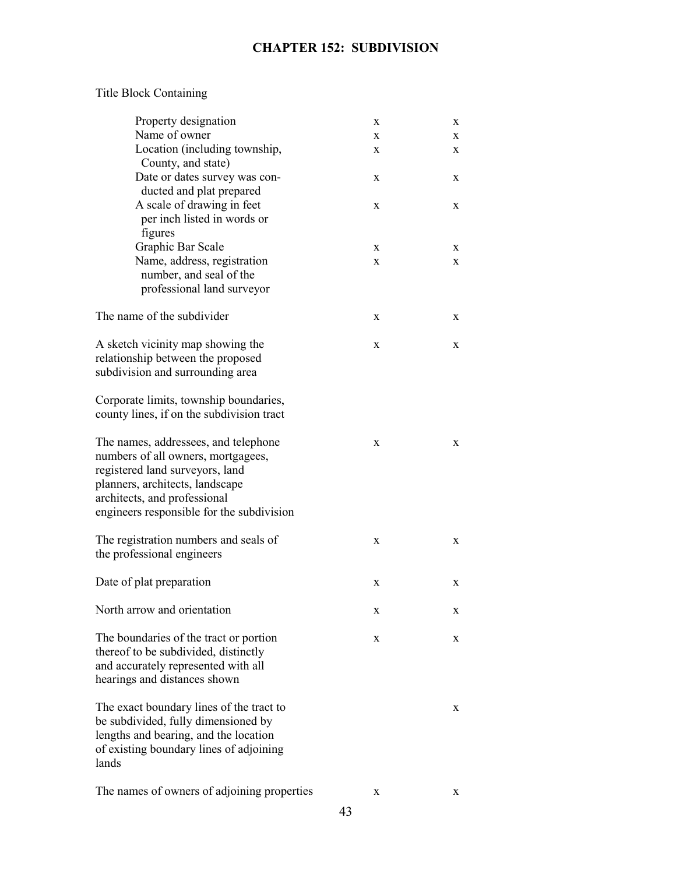# Title Block Containing

| Property designation                                                                                                                                                                                                          | X | X |
|-------------------------------------------------------------------------------------------------------------------------------------------------------------------------------------------------------------------------------|---|---|
| Name of owner                                                                                                                                                                                                                 | X | X |
| Location (including township,<br>County, and state)                                                                                                                                                                           | X | X |
| Date or dates survey was con-<br>ducted and plat prepared                                                                                                                                                                     | X | X |
| A scale of drawing in feet<br>per inch listed in words or<br>figures                                                                                                                                                          | X | X |
| Graphic Bar Scale                                                                                                                                                                                                             | X | X |
| Name, address, registration<br>number, and seal of the<br>professional land surveyor                                                                                                                                          | X | X |
| The name of the subdivider                                                                                                                                                                                                    | X | X |
| A sketch vicinity map showing the<br>relationship between the proposed<br>subdivision and surrounding area                                                                                                                    | X | X |
| Corporate limits, township boundaries,<br>county lines, if on the subdivision tract                                                                                                                                           |   |   |
| The names, addressees, and telephone<br>numbers of all owners, mortgagees,<br>registered land surveyors, land<br>planners, architects, landscape<br>architects, and professional<br>engineers responsible for the subdivision | X | X |
| The registration numbers and seals of<br>the professional engineers                                                                                                                                                           | X | X |
| Date of plat preparation                                                                                                                                                                                                      | X | X |
| North arrow and orientation                                                                                                                                                                                                   | X | X |
| The boundaries of the tract or portion<br>thereof to be subdivided, distinctly<br>and accurately represented with all<br>hearings and distances shown                                                                         | X | X |
| The exact boundary lines of the tract to<br>be subdivided, fully dimensioned by<br>lengths and bearing, and the location<br>of existing boundary lines of adjoining<br>lands                                                  |   | X |
| The names of owners of adjoining properties                                                                                                                                                                                   | X | X |

43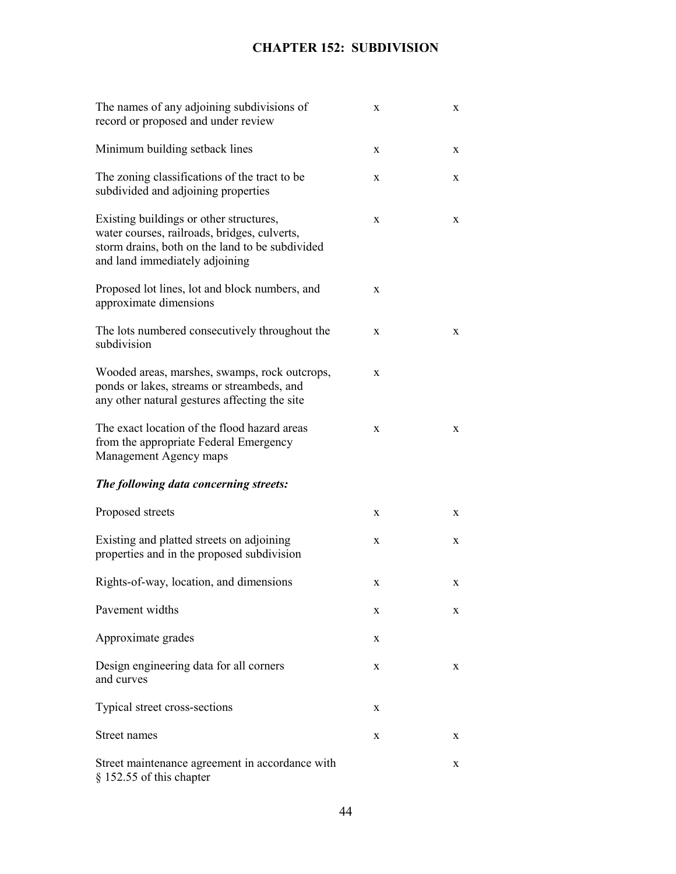| The names of any adjoining subdivisions of<br>record or proposed and under review                                                                                            | X           | X |
|------------------------------------------------------------------------------------------------------------------------------------------------------------------------------|-------------|---|
| Minimum building setback lines                                                                                                                                               | X           | X |
| The zoning classifications of the tract to be<br>subdivided and adjoining properties                                                                                         | X           | X |
| Existing buildings or other structures,<br>water courses, railroads, bridges, culverts,<br>storm drains, both on the land to be subdivided<br>and land immediately adjoining | X           | X |
| Proposed lot lines, lot and block numbers, and<br>approximate dimensions                                                                                                     | X           |   |
| The lots numbered consecutively throughout the<br>subdivision                                                                                                                | X           | X |
| Wooded areas, marshes, swamps, rock outcrops,<br>ponds or lakes, streams or streambeds, and<br>any other natural gestures affecting the site                                 | X           |   |
| The exact location of the flood hazard areas<br>from the appropriate Federal Emergency<br>Management Agency maps                                                             | $\mathbf X$ | X |
| The following data concerning streets:                                                                                                                                       |             |   |
| Proposed streets                                                                                                                                                             | X           | X |
| Existing and platted streets on adjoining<br>properties and in the proposed subdivision                                                                                      | X           | X |
| Rights-of-way, location, and dimensions                                                                                                                                      | X           | X |
| Pavement widths                                                                                                                                                              | X           | X |
| Approximate grades                                                                                                                                                           | X           |   |
| Design engineering data for all corners<br>and curves                                                                                                                        | X           | X |
| Typical street cross-sections                                                                                                                                                | X           |   |
| Street names                                                                                                                                                                 | X           | X |
| Street maintenance agreement in accordance with<br>§ 152.55 of this chapter                                                                                                  |             | X |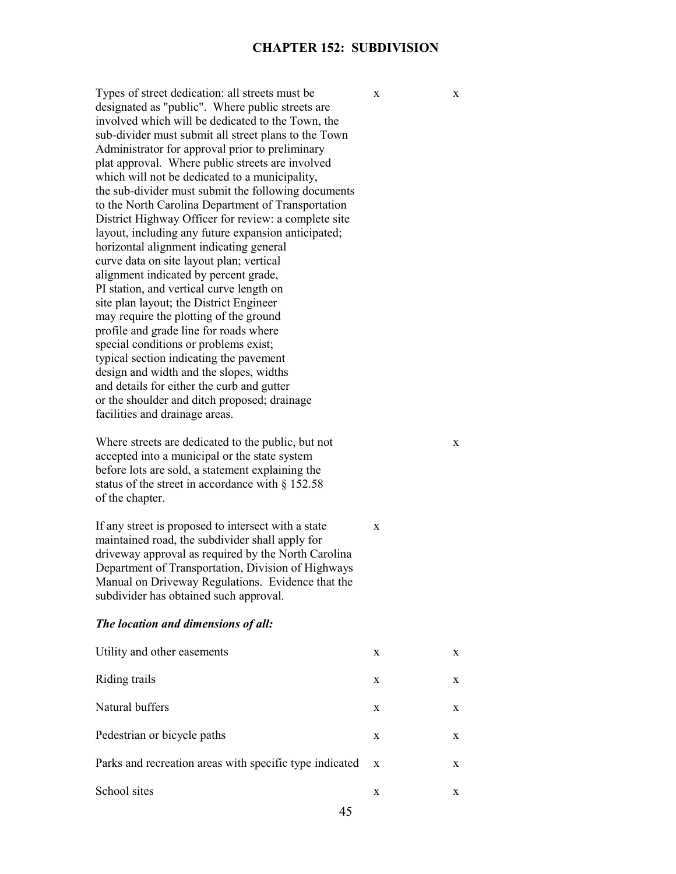Types of street dedication: all streets must be  $\begin{array}{ccc} x & x \\ y & x \end{array}$ designated as "public". Where public streets are involved which will be dedicated to the Town, the sub-divider must submit all street plans to the Town Administrator for approval prior to preliminary plat approval. Where public streets are involved which will not be dedicated to a municipality, the sub-divider must submit the following documents to the North Carolina Department of Transportation District Highway Officer for review: a complete site layout, including any future expansion anticipated; horizontal alignment indicating general curve data on site layout plan; vertical alignment indicated by percent grade, PI station, and vertical curve length on site plan layout; the District Engineer may require the plotting of the ground profile and grade line for roads where special conditions or problems exist; typical section indicating the pavement design and width and the slopes, widths and details for either the curb and gutter or the shoulder and ditch proposed; drainage facilities and drainage areas.

Where streets are dedicated to the public, but not x accepted into a municipal or the state system before lots are sold, a statement explaining the status of the street in accordance with § 152.58 of the chapter.

If any street is proposed to intersect with a state  $\bar{x}$ maintained road, the subdivider shall apply for driveway approval as required by the North Carolina Department of Transportation, Division of Highways Manual on Driveway Regulations. Evidence that the subdivider has obtained such approval.

#### *The location and dimensions of all:*

| Utility and other easements                             | X            | X |
|---------------------------------------------------------|--------------|---|
| Riding trails                                           | X            | X |
| Natural buffers                                         | X            | X |
| Pedestrian or bicycle paths                             | X            | X |
| Parks and recreation areas with specific type indicated | $\mathbf{x}$ | X |
| School sites                                            | X            | X |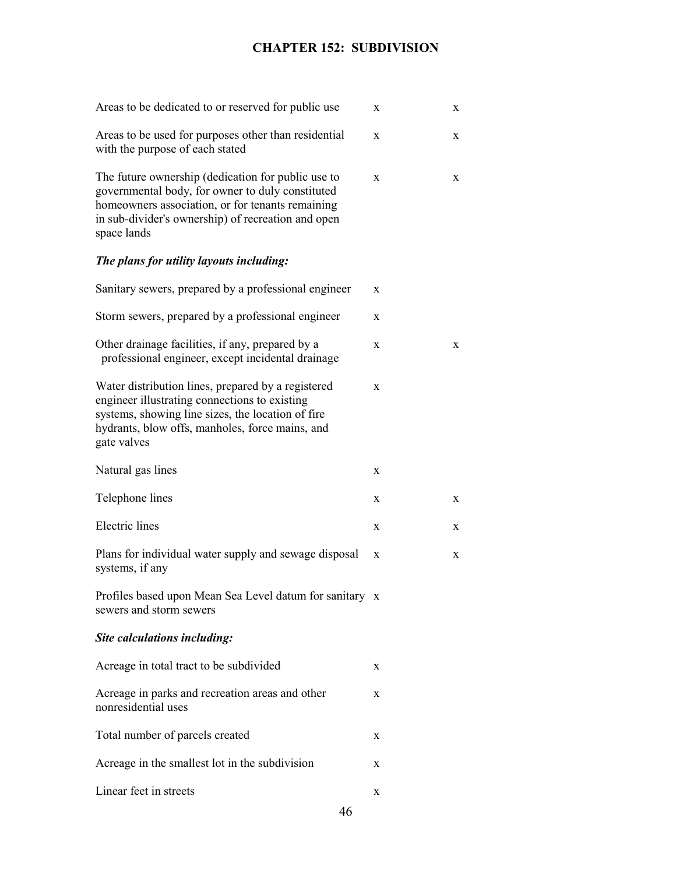| Areas to be dedicated to or reserved for public use                                                                                                                                                                             | X | $\mathbf X$ |
|---------------------------------------------------------------------------------------------------------------------------------------------------------------------------------------------------------------------------------|---|-------------|
| Areas to be used for purposes other than residential<br>with the purpose of each stated                                                                                                                                         | X | $\mathbf X$ |
| The future ownership (dedication for public use to<br>governmental body, for owner to duly constituted<br>homeowners association, or for tenants remaining<br>in sub-divider's ownership) of recreation and open<br>space lands | X | X           |
| The plans for utility layouts including:                                                                                                                                                                                        |   |             |
| Sanitary sewers, prepared by a professional engineer                                                                                                                                                                            | X |             |
| Storm sewers, prepared by a professional engineer                                                                                                                                                                               | X |             |
| Other drainage facilities, if any, prepared by a<br>professional engineer, except incidental drainage                                                                                                                           | X | X           |
| Water distribution lines, prepared by a registered<br>engineer illustrating connections to existing<br>systems, showing line sizes, the location of fire<br>hydrants, blow offs, manholes, force mains, and<br>gate valves      | X |             |
| Natural gas lines                                                                                                                                                                                                               | X |             |
| Telephone lines                                                                                                                                                                                                                 | X | X           |
| <b>Electric</b> lines                                                                                                                                                                                                           | X | $\mathbf X$ |
| Plans for individual water supply and sewage disposal<br>systems, if any                                                                                                                                                        | X | $\mathbf X$ |
| Profiles based upon Mean Sea Level datum for sanitary x<br>sewers and storm sewers                                                                                                                                              |   |             |
| Site calculations including:                                                                                                                                                                                                    |   |             |
| Acreage in total tract to be subdivided                                                                                                                                                                                         | X |             |
| Acreage in parks and recreation areas and other<br>nonresidential uses                                                                                                                                                          | X |             |
| Total number of parcels created                                                                                                                                                                                                 | X |             |
| Acreage in the smallest lot in the subdivision                                                                                                                                                                                  | X |             |
| Linear feet in streets                                                                                                                                                                                                          | X |             |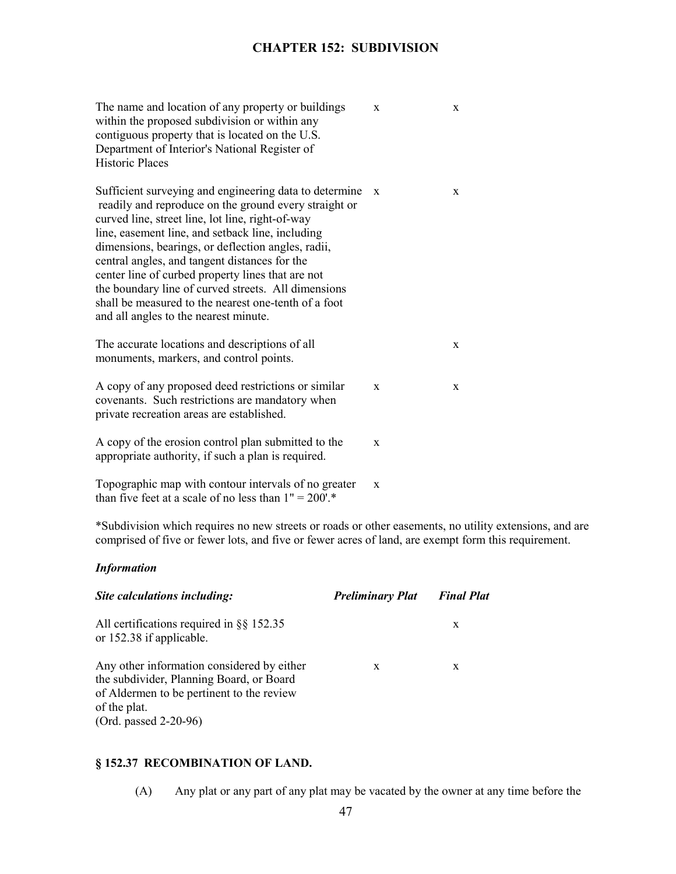| The name and location of any property or buildings<br>within the proposed subdivision or within any<br>contiguous property that is located on the U.S.<br>Department of Interior's National Register of<br><b>Historic Places</b>                                                                                                                                                                                                                                                                                                           | X | X           |
|---------------------------------------------------------------------------------------------------------------------------------------------------------------------------------------------------------------------------------------------------------------------------------------------------------------------------------------------------------------------------------------------------------------------------------------------------------------------------------------------------------------------------------------------|---|-------------|
| Sufficient surveying and engineering data to determine<br>readily and reproduce on the ground every straight or<br>curved line, street line, lot line, right-of-way<br>line, easement line, and setback line, including<br>dimensions, bearings, or deflection angles, radii,<br>central angles, and tangent distances for the<br>center line of curbed property lines that are not<br>the boundary line of curved streets. All dimensions<br>shall be measured to the nearest one-tenth of a foot<br>and all angles to the nearest minute. | X | $\mathbf X$ |
| The accurate locations and descriptions of all<br>monuments, markers, and control points.                                                                                                                                                                                                                                                                                                                                                                                                                                                   |   | X           |
| A copy of any proposed deed restrictions or similar<br>covenants. Such restrictions are mandatory when<br>private recreation areas are established.                                                                                                                                                                                                                                                                                                                                                                                         | X | X           |
| A copy of the erosion control plan submitted to the<br>appropriate authority, if such a plan is required.                                                                                                                                                                                                                                                                                                                                                                                                                                   | X |             |
| Topographic map with contour intervals of no greater<br>than five feet at a scale of no less than $1" = 200$ .*                                                                                                                                                                                                                                                                                                                                                                                                                             | X |             |

\*Subdivision which requires no new streets or roads or other easements, no utility extensions, and are comprised of five or fewer lots, and five or fewer acres of land, are exempt form this requirement.

## *Information*

| Site calculations including:                                                                                                                                                 | <b>Preliminary Plat</b> | <b>Final Plat</b> |
|------------------------------------------------------------------------------------------------------------------------------------------------------------------------------|-------------------------|-------------------|
| All certifications required in $\S$ § 152.35<br>or 152.38 if applicable.                                                                                                     |                         | X                 |
| Any other information considered by either<br>the subdivider, Planning Board, or Board<br>of Aldermen to be pertinent to the review<br>of the plat.<br>(Ord. passed 2-20-96) | X                       | X                 |

# **§ 152.37 RECOMBINATION OF LAND.**

(A) Any plat or any part of any plat may be vacated by the owner at any time before the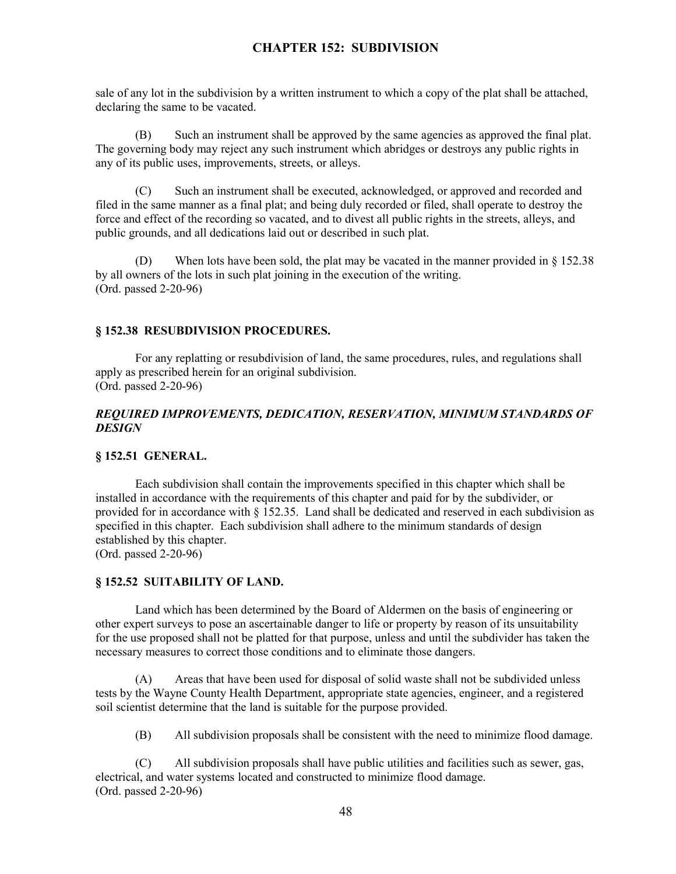sale of any lot in the subdivision by a written instrument to which a copy of the plat shall be attached, declaring the same to be vacated.

(B) Such an instrument shall be approved by the same agencies as approved the final plat. The governing body may reject any such instrument which abridges or destroys any public rights in any of its public uses, improvements, streets, or alleys.

(C) Such an instrument shall be executed, acknowledged, or approved and recorded and filed in the same manner as a final plat; and being duly recorded or filed, shall operate to destroy the force and effect of the recording so vacated, and to divest all public rights in the streets, alleys, and public grounds, and all dedications laid out or described in such plat.

(D) When lots have been sold, the plat may be vacated in the manner provided in § 152.38 by all owners of the lots in such plat joining in the execution of the writing. (Ord. passed 2-20-96)

## **§ 152.38 RESUBDIVISION PROCEDURES.**

For any replatting or resubdivision of land, the same procedures, rules, and regulations shall apply as prescribed herein for an original subdivision. (Ord. passed 2-20-96)

## *REQUIRED IMPROVEMENTS, DEDICATION, RESERVATION, MINIMUM STANDARDS OF DESIGN*

#### **§ 152.51 GENERAL.**

Each subdivision shall contain the improvements specified in this chapter which shall be installed in accordance with the requirements of this chapter and paid for by the subdivider, or provided for in accordance with § 152.35. Land shall be dedicated and reserved in each subdivision as specified in this chapter. Each subdivision shall adhere to the minimum standards of design established by this chapter.

(Ord. passed 2-20-96)

# **§ 152.52 SUITABILITY OF LAND.**

Land which has been determined by the Board of Aldermen on the basis of engineering or other expert surveys to pose an ascertainable danger to life or property by reason of its unsuitability for the use proposed shall not be platted for that purpose, unless and until the subdivider has taken the necessary measures to correct those conditions and to eliminate those dangers.

(A) Areas that have been used for disposal of solid waste shall not be subdivided unless tests by the Wayne County Health Department, appropriate state agencies, engineer, and a registered soil scientist determine that the land is suitable for the purpose provided.

(B) All subdivision proposals shall be consistent with the need to minimize flood damage.

(C) All subdivision proposals shall have public utilities and facilities such as sewer, gas, electrical, and water systems located and constructed to minimize flood damage. (Ord. passed 2-20-96)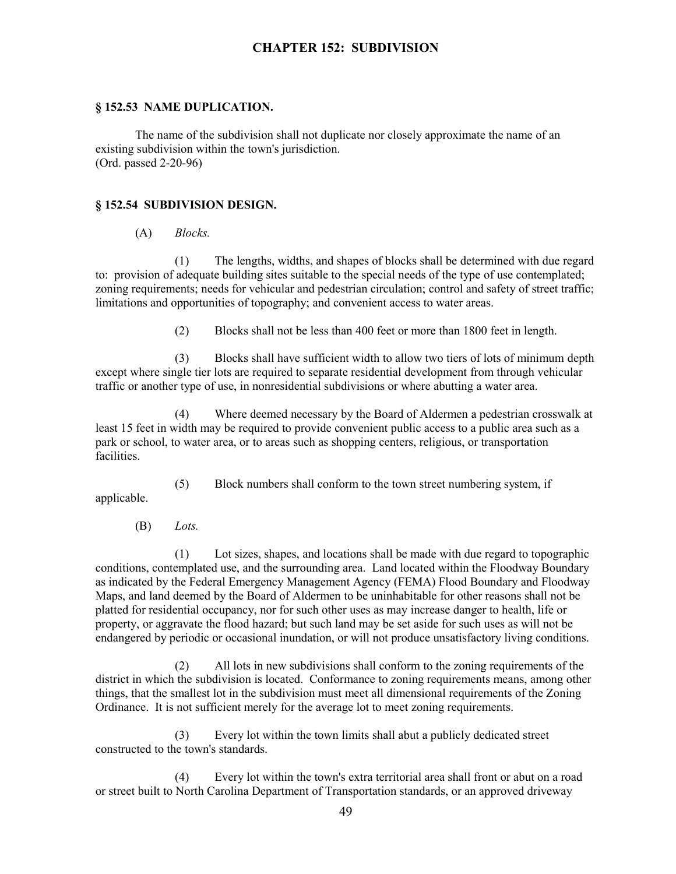#### **§ 152.53 NAME DUPLICATION.**

The name of the subdivision shall not duplicate nor closely approximate the name of an existing subdivision within the town's jurisdiction. (Ord. passed 2-20-96)

## **§ 152.54 SUBDIVISION DESIGN.**

## (A) *Blocks.*

(1) The lengths, widths, and shapes of blocks shall be determined with due regard to: provision of adequate building sites suitable to the special needs of the type of use contemplated; zoning requirements; needs for vehicular and pedestrian circulation; control and safety of street traffic; limitations and opportunities of topography; and convenient access to water areas.

(2) Blocks shall not be less than 400 feet or more than 1800 feet in length.

(3) Blocks shall have sufficient width to allow two tiers of lots of minimum depth except where single tier lots are required to separate residential development from through vehicular traffic or another type of use, in nonresidential subdivisions or where abutting a water area.

(4) Where deemed necessary by the Board of Aldermen a pedestrian crosswalk at least 15 feet in width may be required to provide convenient public access to a public area such as a park or school, to water area, or to areas such as shopping centers, religious, or transportation facilities.

applicable.

(5) Block numbers shall conform to the town street numbering system, if

(B) *Lots.*

(1) Lot sizes, shapes, and locations shall be made with due regard to topographic conditions, contemplated use, and the surrounding area. Land located within the Floodway Boundary as indicated by the Federal Emergency Management Agency (FEMA) Flood Boundary and Floodway Maps, and land deemed by the Board of Aldermen to be uninhabitable for other reasons shall not be platted for residential occupancy, nor for such other uses as may increase danger to health, life or property, or aggravate the flood hazard; but such land may be set aside for such uses as will not be endangered by periodic or occasional inundation, or will not produce unsatisfactory living conditions.

(2) All lots in new subdivisions shall conform to the zoning requirements of the district in which the subdivision is located. Conformance to zoning requirements means, among other things, that the smallest lot in the subdivision must meet all dimensional requirements of the Zoning Ordinance. It is not sufficient merely for the average lot to meet zoning requirements.

(3) Every lot within the town limits shall abut a publicly dedicated street constructed to the town's standards.

(4) Every lot within the town's extra territorial area shall front or abut on a road or street built to North Carolina Department of Transportation standards, or an approved driveway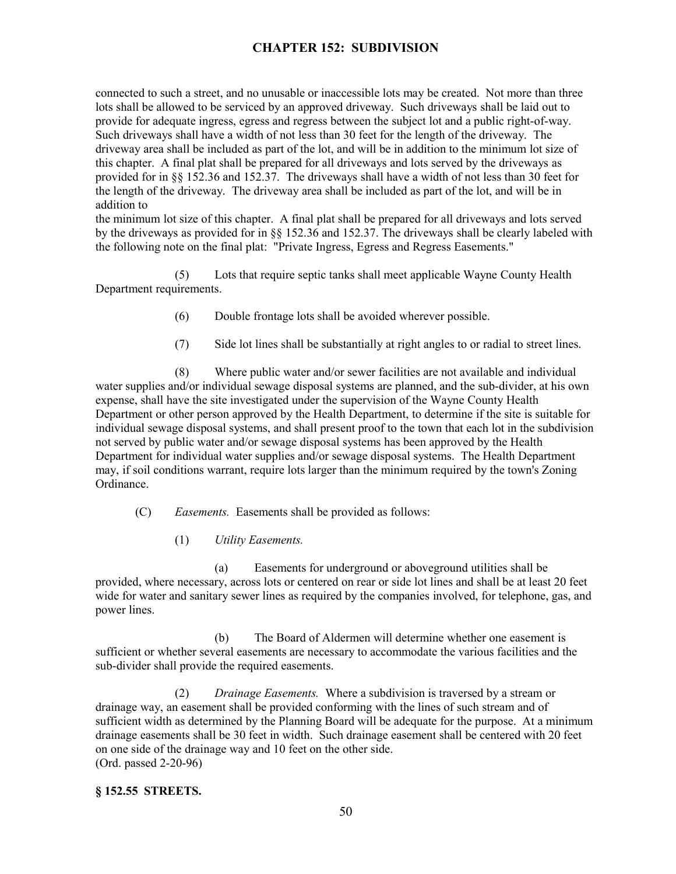connected to such a street, and no unusable or inaccessible lots may be created. Not more than three lots shall be allowed to be serviced by an approved driveway. Such driveways shall be laid out to provide for adequate ingress, egress and regress between the subject lot and a public right-of-way. Such driveways shall have a width of not less than 30 feet for the length of the driveway. The driveway area shall be included as part of the lot, and will be in addition to the minimum lot size of this chapter. A final plat shall be prepared for all driveways and lots served by the driveways as provided for in §§ 152.36 and 152.37. The driveways shall have a width of not less than 30 feet for the length of the driveway. The driveway area shall be included as part of the lot, and will be in addition to

the minimum lot size of this chapter. A final plat shall be prepared for all driveways and lots served by the driveways as provided for in §§ 152.36 and 152.37. The driveways shall be clearly labeled with the following note on the final plat: "Private Ingress, Egress and Regress Easements."

(5) Lots that require septic tanks shall meet applicable Wayne County Health Department requirements.

- (6) Double frontage lots shall be avoided wherever possible.
- (7) Side lot lines shall be substantially at right angles to or radial to street lines.

(8) Where public water and/or sewer facilities are not available and individual water supplies and/or individual sewage disposal systems are planned, and the sub-divider, at his own expense, shall have the site investigated under the supervision of the Wayne County Health Department or other person approved by the Health Department, to determine if the site is suitable for individual sewage disposal systems, and shall present proof to the town that each lot in the subdivision not served by public water and/or sewage disposal systems has been approved by the Health Department for individual water supplies and/or sewage disposal systems. The Health Department may, if soil conditions warrant, require lots larger than the minimum required by the town's Zoning Ordinance.

(C) *Easements.* Easements shall be provided as follows:

(1) *Utility Easements.*

(a) Easements for underground or aboveground utilities shall be provided, where necessary, across lots or centered on rear or side lot lines and shall be at least 20 feet wide for water and sanitary sewer lines as required by the companies involved, for telephone, gas, and power lines.

(b) The Board of Aldermen will determine whether one easement is sufficient or whether several easements are necessary to accommodate the various facilities and the sub-divider shall provide the required easements.

(2) *Drainage Easements.* Where a subdivision is traversed by a stream or drainage way, an easement shall be provided conforming with the lines of such stream and of sufficient width as determined by the Planning Board will be adequate for the purpose. At a minimum drainage easements shall be 30 feet in width. Such drainage easement shall be centered with 20 feet on one side of the drainage way and 10 feet on the other side. (Ord. passed 2-20-96)

## **§ 152.55 STREETS.**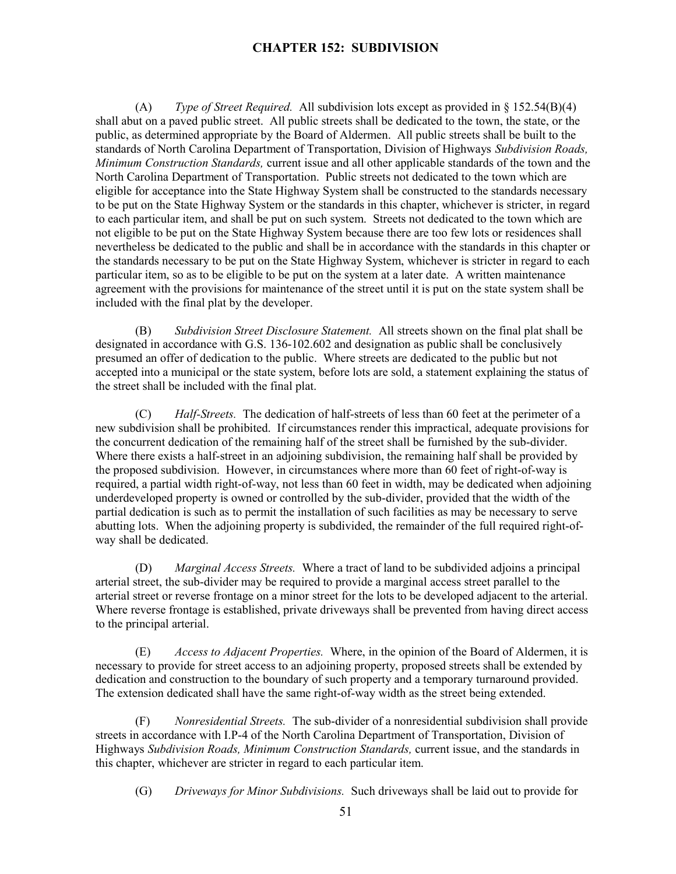(A) *Type of Street Required.* All subdivision lots except as provided in § 152.54(B)(4) shall abut on a paved public street. All public streets shall be dedicated to the town, the state, or the public, as determined appropriate by the Board of Aldermen. All public streets shall be built to the standards of North Carolina Department of Transportation, Division of Highways *Subdivision Roads, Minimum Construction Standards,* current issue and all other applicable standards of the town and the North Carolina Department of Transportation. Public streets not dedicated to the town which are eligible for acceptance into the State Highway System shall be constructed to the standards necessary to be put on the State Highway System or the standards in this chapter, whichever is stricter, in regard to each particular item, and shall be put on such system. Streets not dedicated to the town which are not eligible to be put on the State Highway System because there are too few lots or residences shall nevertheless be dedicated to the public and shall be in accordance with the standards in this chapter or the standards necessary to be put on the State Highway System, whichever is stricter in regard to each particular item, so as to be eligible to be put on the system at a later date. A written maintenance agreement with the provisions for maintenance of the street until it is put on the state system shall be included with the final plat by the developer.

(B) *Subdivision Street Disclosure Statement.* All streets shown on the final plat shall be designated in accordance with G.S. 136-102.602 and designation as public shall be conclusively presumed an offer of dedication to the public. Where streets are dedicated to the public but not accepted into a municipal or the state system, before lots are sold, a statement explaining the status of the street shall be included with the final plat.

(C) *Half-Streets.* The dedication of half-streets of less than 60 feet at the perimeter of a new subdivision shall be prohibited. If circumstances render this impractical, adequate provisions for the concurrent dedication of the remaining half of the street shall be furnished by the sub-divider. Where there exists a half-street in an adjoining subdivision, the remaining half shall be provided by the proposed subdivision. However, in circumstances where more than 60 feet of right-of-way is required, a partial width right-of-way, not less than 60 feet in width, may be dedicated when adjoining underdeveloped property is owned or controlled by the sub-divider, provided that the width of the partial dedication is such as to permit the installation of such facilities as may be necessary to serve abutting lots. When the adjoining property is subdivided, the remainder of the full required right-ofway shall be dedicated.

(D) *Marginal Access Streets.* Where a tract of land to be subdivided adjoins a principal arterial street, the sub-divider may be required to provide a marginal access street parallel to the arterial street or reverse frontage on a minor street for the lots to be developed adjacent to the arterial. Where reverse frontage is established, private driveways shall be prevented from having direct access to the principal arterial.

(E) *Access to Adjacent Properties.* Where, in the opinion of the Board of Aldermen, it is necessary to provide for street access to an adjoining property, proposed streets shall be extended by dedication and construction to the boundary of such property and a temporary turnaround provided. The extension dedicated shall have the same right-of-way width as the street being extended.

(F) *Nonresidential Streets.* The sub-divider of a nonresidential subdivision shall provide streets in accordance with I.P-4 of the North Carolina Department of Transportation, Division of Highways *Subdivision Roads, Minimum Construction Standards,* current issue, and the standards in this chapter, whichever are stricter in regard to each particular item.

(G) *Driveways for Minor Subdivisions.* Such driveways shall be laid out to provide for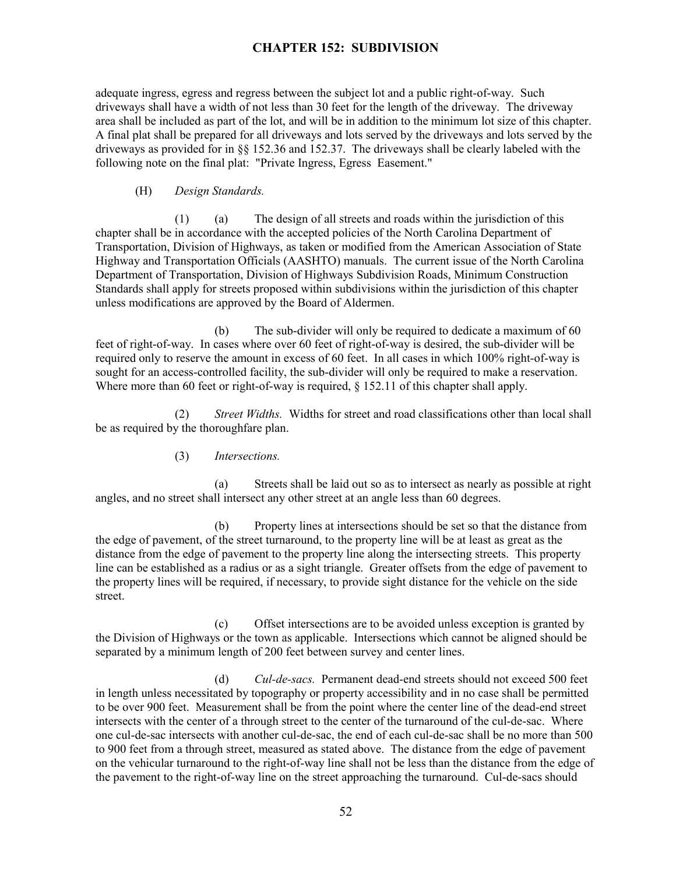adequate ingress, egress and regress between the subject lot and a public right-of-way. Such driveways shall have a width of not less than 30 feet for the length of the driveway. The driveway area shall be included as part of the lot, and will be in addition to the minimum lot size of this chapter. A final plat shall be prepared for all driveways and lots served by the driveways and lots served by the driveways as provided for in §§ 152.36 and 152.37. The driveways shall be clearly labeled with the following note on the final plat: "Private Ingress, Egress Easement."

## (H) *Design Standards.*

(1) (a) The design of all streets and roads within the jurisdiction of this chapter shall be in accordance with the accepted policies of the North Carolina Department of Transportation, Division of Highways, as taken or modified from the American Association of State Highway and Transportation Officials (AASHTO) manuals. The current issue of the North Carolina Department of Transportation, Division of Highways Subdivision Roads, Minimum Construction Standards shall apply for streets proposed within subdivisions within the jurisdiction of this chapter unless modifications are approved by the Board of Aldermen.

(b) The sub-divider will only be required to dedicate a maximum of 60 feet of right-of-way. In cases where over 60 feet of right-of-way is desired, the sub-divider will be required only to reserve the amount in excess of 60 feet. In all cases in which 100% right-of-way is sought for an access-controlled facility, the sub-divider will only be required to make a reservation. Where more than 60 feet or right-of-way is required, § 152.11 of this chapter shall apply.

(2) *Street Widths.* Widths for street and road classifications other than local shall be as required by the thoroughfare plan.

## (3) *Intersections.*

(a) Streets shall be laid out so as to intersect as nearly as possible at right angles, and no street shall intersect any other street at an angle less than 60 degrees.

(b) Property lines at intersections should be set so that the distance from the edge of pavement, of the street turnaround, to the property line will be at least as great as the distance from the edge of pavement to the property line along the intersecting streets. This property line can be established as a radius or as a sight triangle. Greater offsets from the edge of pavement to the property lines will be required, if necessary, to provide sight distance for the vehicle on the side street.

(c) Offset intersections are to be avoided unless exception is granted by the Division of Highways or the town as applicable. Intersections which cannot be aligned should be separated by a minimum length of 200 feet between survey and center lines.

(d) *Cul-de-sacs.* Permanent dead-end streets should not exceed 500 feet in length unless necessitated by topography or property accessibility and in no case shall be permitted to be over 900 feet. Measurement shall be from the point where the center line of the dead-end street intersects with the center of a through street to the center of the turnaround of the cul-de-sac. Where one cul-de-sac intersects with another cul-de-sac, the end of each cul-de-sac shall be no more than 500 to 900 feet from a through street, measured as stated above. The distance from the edge of pavement on the vehicular turnaround to the right-of-way line shall not be less than the distance from the edge of the pavement to the right-of-way line on the street approaching the turnaround. Cul-de-sacs should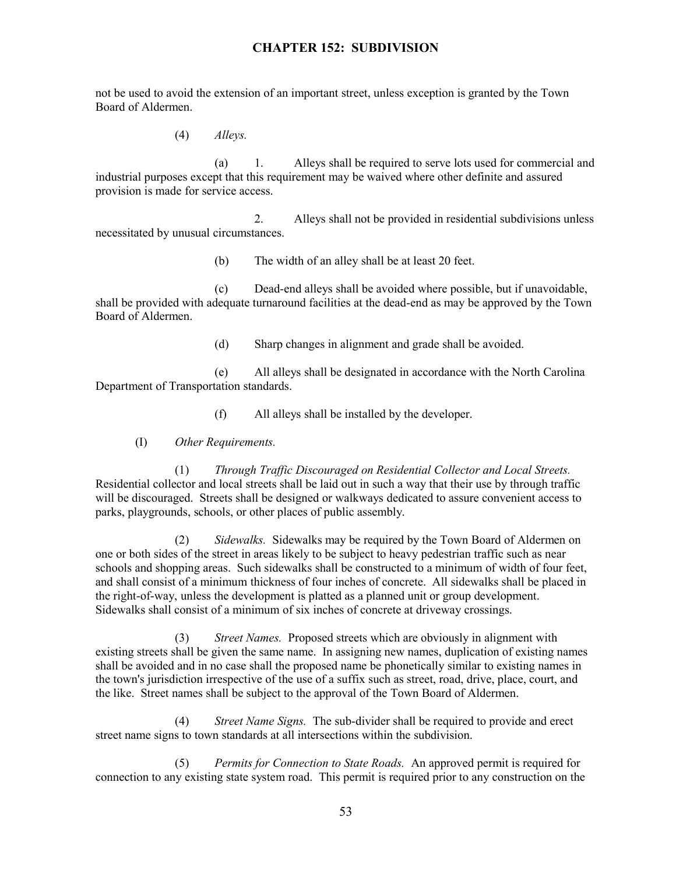not be used to avoid the extension of an important street, unless exception is granted by the Town Board of Aldermen.

(4) *Alleys.*

(a) 1. Alleys shall be required to serve lots used for commercial and industrial purposes except that this requirement may be waived where other definite and assured provision is made for service access.

2. Alleys shall not be provided in residential subdivisions unless necessitated by unusual circumstances.

(b) The width of an alley shall be at least 20 feet.

(c) Dead-end alleys shall be avoided where possible, but if unavoidable, shall be provided with adequate turnaround facilities at the dead-end as may be approved by the Town Board of Aldermen.

(d) Sharp changes in alignment and grade shall be avoided.

(e) All alleys shall be designated in accordance with the North Carolina Department of Transportation standards.

(f) All alleys shall be installed by the developer.

(I) *Other Requirements.*

(1) *Through Traffic Discouraged on Residential Collector and Local Streets.* Residential collector and local streets shall be laid out in such a way that their use by through traffic will be discouraged. Streets shall be designed or walkways dedicated to assure convenient access to parks, playgrounds, schools, or other places of public assembly.

(2) *Sidewalks.* Sidewalks may be required by the Town Board of Aldermen on one or both sides of the street in areas likely to be subject to heavy pedestrian traffic such as near schools and shopping areas. Such sidewalks shall be constructed to a minimum of width of four feet, and shall consist of a minimum thickness of four inches of concrete. All sidewalks shall be placed in the right-of-way, unless the development is platted as a planned unit or group development. Sidewalks shall consist of a minimum of six inches of concrete at driveway crossings.

(3) *Street Names.* Proposed streets which are obviously in alignment with existing streets shall be given the same name. In assigning new names, duplication of existing names shall be avoided and in no case shall the proposed name be phonetically similar to existing names in the town's jurisdiction irrespective of the use of a suffix such as street, road, drive, place, court, and the like. Street names shall be subject to the approval of the Town Board of Aldermen.

(4) *Street Name Signs.* The sub-divider shall be required to provide and erect street name signs to town standards at all intersections within the subdivision.

(5) *Permits for Connection to State Roads.* An approved permit is required for connection to any existing state system road. This permit is required prior to any construction on the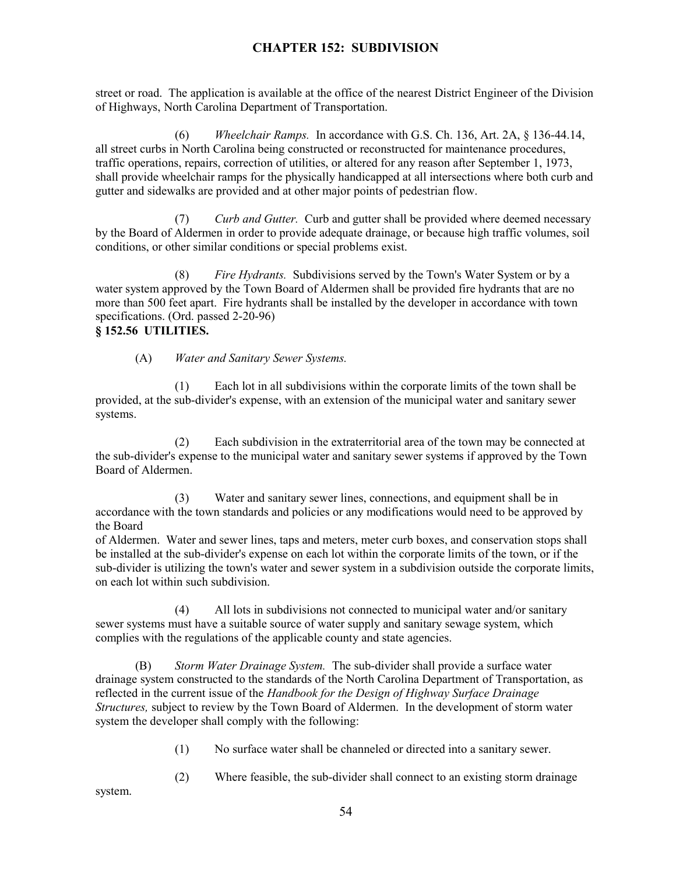street or road. The application is available at the office of the nearest District Engineer of the Division of Highways, North Carolina Department of Transportation.

(6) *Wheelchair Ramps.* In accordance with G.S. Ch. 136, Art. 2A, § 136-44.14, all street curbs in North Carolina being constructed or reconstructed for maintenance procedures, traffic operations, repairs, correction of utilities, or altered for any reason after September 1, 1973, shall provide wheelchair ramps for the physically handicapped at all intersections where both curb and gutter and sidewalks are provided and at other major points of pedestrian flow.

(7) *Curb and Gutter.* Curb and gutter shall be provided where deemed necessary by the Board of Aldermen in order to provide adequate drainage, or because high traffic volumes, soil conditions, or other similar conditions or special problems exist.

(8) *Fire Hydrants.* Subdivisions served by the Town's Water System or by a water system approved by the Town Board of Aldermen shall be provided fire hydrants that are no more than 500 feet apart. Fire hydrants shall be installed by the developer in accordance with town specifications. (Ord. passed 2-20-96)

```
§ 152.56 UTILITIES.
```
(A) *Water and Sanitary Sewer Systems.*

(1) Each lot in all subdivisions within the corporate limits of the town shall be provided, at the sub-divider's expense, with an extension of the municipal water and sanitary sewer systems.

(2) Each subdivision in the extraterritorial area of the town may be connected at the sub-divider's expense to the municipal water and sanitary sewer systems if approved by the Town Board of Aldermen.

(3) Water and sanitary sewer lines, connections, and equipment shall be in accordance with the town standards and policies or any modifications would need to be approved by the Board

of Aldermen. Water and sewer lines, taps and meters, meter curb boxes, and conservation stops shall be installed at the sub-divider's expense on each lot within the corporate limits of the town, or if the sub-divider is utilizing the town's water and sewer system in a subdivision outside the corporate limits, on each lot within such subdivision.

(4) All lots in subdivisions not connected to municipal water and/or sanitary sewer systems must have a suitable source of water supply and sanitary sewage system, which complies with the regulations of the applicable county and state agencies.

(B) *Storm Water Drainage System.* The sub-divider shall provide a surface water drainage system constructed to the standards of the North Carolina Department of Transportation, as reflected in the current issue of the *Handbook for the Design of Highway Surface Drainage Structures,* subject to review by the Town Board of Aldermen. In the development of storm water system the developer shall comply with the following:

- (1) No surface water shall be channeled or directed into a sanitary sewer.
- (2) Where feasible, the sub-divider shall connect to an existing storm drainage

system.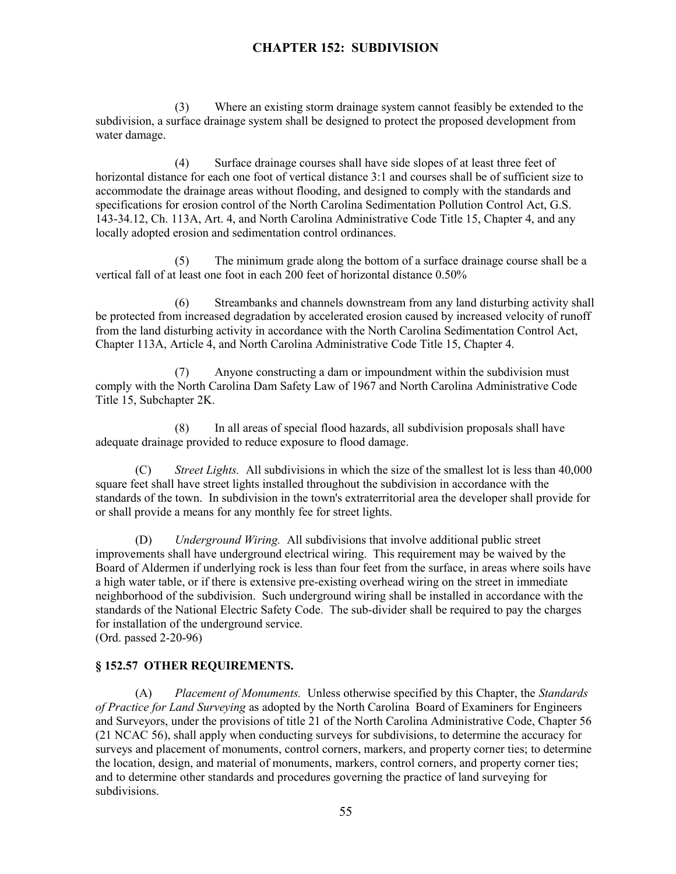(3) Where an existing storm drainage system cannot feasibly be extended to the subdivision, a surface drainage system shall be designed to protect the proposed development from water damage.

(4) Surface drainage courses shall have side slopes of at least three feet of horizontal distance for each one foot of vertical distance 3:1 and courses shall be of sufficient size to accommodate the drainage areas without flooding, and designed to comply with the standards and specifications for erosion control of the North Carolina Sedimentation Pollution Control Act, G.S. 143-34.12, Ch. 113A, Art. 4, and North Carolina Administrative Code Title 15, Chapter 4, and any locally adopted erosion and sedimentation control ordinances.

(5) The minimum grade along the bottom of a surface drainage course shall be a vertical fall of at least one foot in each 200 feet of horizontal distance 0.50%

(6) Streambanks and channels downstream from any land disturbing activity shall be protected from increased degradation by accelerated erosion caused by increased velocity of runoff from the land disturbing activity in accordance with the North Carolina Sedimentation Control Act, Chapter 113A, Article 4, and North Carolina Administrative Code Title 15, Chapter 4.

(7) Anyone constructing a dam or impoundment within the subdivision must comply with the North Carolina Dam Safety Law of 1967 and North Carolina Administrative Code Title 15, Subchapter 2K.

(8) In all areas of special flood hazards, all subdivision proposals shall have adequate drainage provided to reduce exposure to flood damage.

(C) *Street Lights.* All subdivisions in which the size of the smallest lot is less than 40,000 square feet shall have street lights installed throughout the subdivision in accordance with the standards of the town. In subdivision in the town's extraterritorial area the developer shall provide for or shall provide a means for any monthly fee for street lights.

(D) *Underground Wiring.* All subdivisions that involve additional public street improvements shall have underground electrical wiring. This requirement may be waived by the Board of Aldermen if underlying rock is less than four feet from the surface, in areas where soils have a high water table, or if there is extensive pre-existing overhead wiring on the street in immediate neighborhood of the subdivision. Such underground wiring shall be installed in accordance with the standards of the National Electric Safety Code. The sub-divider shall be required to pay the charges for installation of the underground service.

(Ord. passed 2-20-96)

## **§ 152.57 OTHER REQUIREMENTS.**

(A) *Placement of Monuments.* Unless otherwise specified by this Chapter, the *Standards of Practice for Land Surveying* as adopted by the North Carolina Board of Examiners for Engineers and Surveyors, under the provisions of title 21 of the North Carolina Administrative Code, Chapter 56 (21 NCAC 56), shall apply when conducting surveys for subdivisions, to determine the accuracy for surveys and placement of monuments, control corners, markers, and property corner ties; to determine the location, design, and material of monuments, markers, control corners, and property corner ties; and to determine other standards and procedures governing the practice of land surveying for subdivisions.